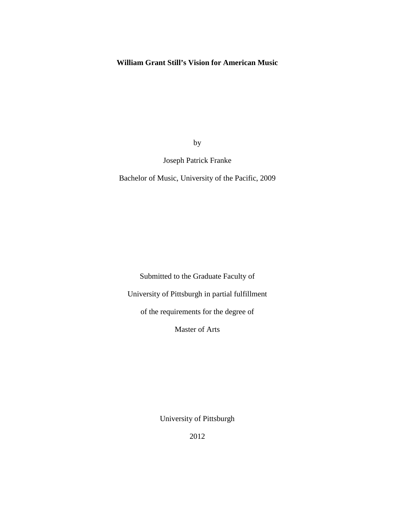# **William Grant Still's Vision for American Music**

by

# Joseph Patrick Franke

Bachelor of Music, University of the Pacific, 2009

Submitted to the Graduate Faculty of

University of Pittsburgh in partial fulfillment

of the requirements for the degree of

Master of Arts

University of Pittsburgh

2012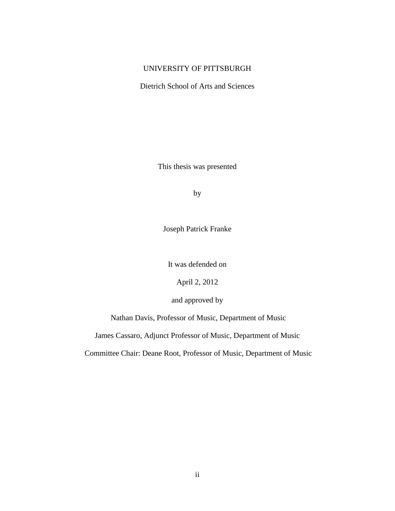# UNIVERSITY OF PITTSBURGH

Dietrich School of Arts and Sciences

This thesis was presented

by

Joseph Patrick Franke

It was defended on

April 2, 2012

and approved by

Nathan Davis, Professor of Music, Department of Music

James Cassaro, Adjunct Professor of Music, Department of Music

Committee Chair: Deane Root, Professor of Music, Department of Music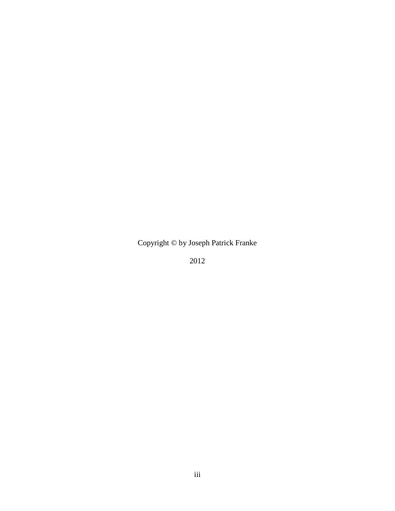Copyright © by Joseph Patrick Franke

2012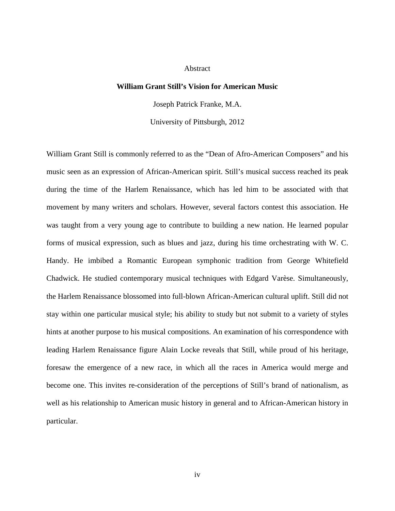## **Abstract**

# **William Grant Still's Vision for American Music**

Joseph Patrick Franke, M.A.

University of Pittsburgh, 2012

William Grant Still is commonly referred to as the "Dean of Afro-American Composers" and his music seen as an expression of African-American spirit. Still's musical success reached its peak during the time of the Harlem Renaissance, which has led him to be associated with that movement by many writers and scholars. However, several factors contest this association. He was taught from a very young age to contribute to building a new nation. He learned popular forms of musical expression, such as blues and jazz, during his time orchestrating with W. C. Handy. He imbibed a Romantic European symphonic tradition from George Whitefield Chadwick. He studied contemporary musical techniques with Edgard Varèse. Simultaneously, the Harlem Renaissance blossomed into full-blown African-American cultural uplift. Still did not stay within one particular musical style; his ability to study but not submit to a variety of styles hints at another purpose to his musical compositions. An examination of his correspondence with leading Harlem Renaissance figure Alain Locke reveals that Still, while proud of his heritage, foresaw the emergence of a new race, in which all the races in America would merge and become one. This invites re-consideration of the perceptions of Still's brand of nationalism, as well as his relationship to American music history in general and to African-American history in particular.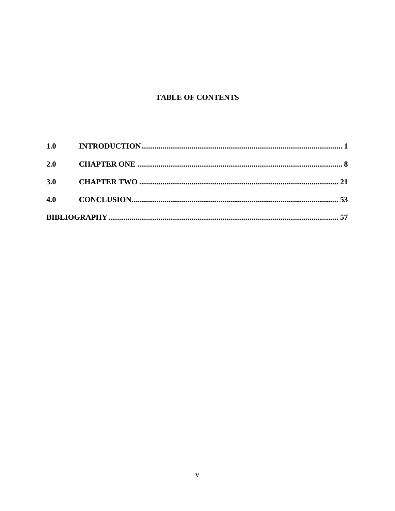# **TABLE OF CONTENTS**

| 2.0 |  |  |
|-----|--|--|
| 3.0 |  |  |
|     |  |  |
|     |  |  |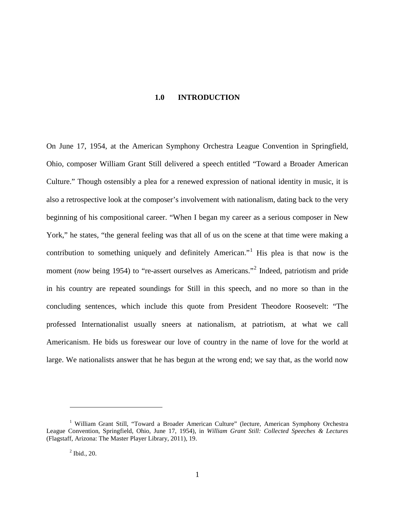# **1.0 INTRODUCTION**

<span id="page-5-0"></span>On June 17, 1954, at the American Symphony Orchestra League Convention in Springfield, Ohio, composer William Grant Still delivered a speech entitled "Toward a Broader American Culture." Though ostensibly a plea for a renewed expression of national identity in music, it is also a retrospective look at the composer's involvement with nationalism, dating back to the very beginning of his compositional career. "When I began my career as a serious composer in New York," he states, "the general feeling was that all of us on the scene at that time were making a contribution to something uniquely and definitely American.<sup>"[1](#page-5-1)</sup> His plea is that now is the moment (*now* being 1954) to "re-assert ourselves as Americans."<sup>[2](#page-5-2)</sup> Indeed, patriotism and pride in his country are repeated soundings for Still in this speech, and no more so than in the concluding sentences, which include this quote from President Theodore Roosevelt: "The professed Internationalist usually sneers at nationalism, at patriotism, at what we call Americanism. He bids us foreswear our love of country in the name of love for the world at large. We nationalists answer that he has begun at the wrong end; we say that, as the world now

<span id="page-5-3"></span><span id="page-5-2"></span><span id="page-5-1"></span><sup>&</sup>lt;sup>1</sup> William Grant Still, "Toward a Broader American Culture" (lecture, American Symphony Orchestra League Convention, Springfield, Ohio, June 17, 1954), in *William Grant Still: Collected Speeches & Lectures*  (Flagstaff, Arizona: The Master Player Library, 2011), 19.

 $<sup>2</sup>$  Ibid., 20.</sup>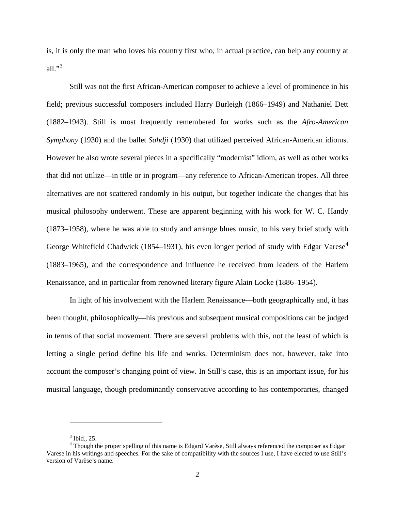is, it is only the man who loves his country first who, in actual practice, can help any country at all." $3$ 

Still was not the first African-American composer to achieve a level of prominence in his field; previous successful composers included Harry Burleigh (1866–1949) and Nathaniel Dett (1882–1943). Still is most frequently remembered for works such as the *Afro-American Symphony* (1930) and the ballet *Sahdji* (1930) that utilized perceived African-American idioms. However he also wrote several pieces in a specifically "modernist" idiom, as well as other works that did not utilize—in title or in program—any reference to African-American tropes. All three alternatives are not scattered randomly in his output, but together indicate the changes that his musical philosophy underwent. These are apparent beginning with his work for W. C. Handy (1873–1958), where he was able to study and arrange blues music, to his very brief study with George Whitefield Chadwick (185[4](#page-6-0)–1931), his even longer period of study with Edgar Varese<sup>4</sup> (1883–1965), and the correspondence and influence he received from leaders of the Harlem Renaissance, and in particular from renowned literary figure Alain Locke (1886–1954).

In light of his involvement with the Harlem Renaissance—both geographically and, it has been thought, philosophically—his previous and subsequent musical compositions can be judged in terms of that social movement. There are several problems with this, not the least of which is letting a single period define his life and works. Determinism does not, however, take into account the composer's changing point of view. In Still's case, this is an important issue, for his musical language, though predominantly conservative according to his contemporaries, changed

 $3$  Ibid., 25.

<span id="page-6-1"></span><span id="page-6-0"></span><sup>&</sup>lt;sup>4</sup> Though the proper spelling of this name is Edgard Varèse, Still always referenced the composer as Edgar Varese in his writings and speeches. For the sake of compatibility with the sources I use, I have elected to use Still's version of Varèse's name.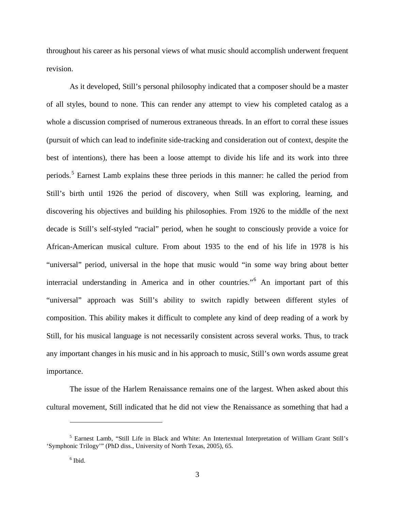throughout his career as his personal views of what music should accomplish underwent frequent revision.

As it developed, Still's personal philosophy indicated that a composer should be a master of all styles, bound to none. This can render any attempt to view his completed catalog as a whole a discussion comprised of numerous extraneous threads. In an effort to corral these issues (pursuit of which can lead to indefinite side-tracking and consideration out of context, despite the best of intentions), there has been a loose attempt to divide his life and its work into three periods.[5](#page-6-1) Earnest Lamb explains these three periods in this manner: he called the period from Still's birth until 1926 the period of discovery, when Still was exploring, learning, and discovering his objectives and building his philosophies. From 1926 to the middle of the next decade is Still's self-styled "racial" period, when he sought to consciously provide a voice for African-American musical culture. From about 1935 to the end of his life in 1978 is his "universal" period, universal in the hope that music would "in some way bring about better interracial understanding in America and in other countries."[6](#page-7-0) An important part of this "universal" approach was Still's ability to switch rapidly between different styles of composition. This ability makes it difficult to complete any kind of deep reading of a work by Still, for his musical language is not necessarily consistent across several works. Thus, to track any important changes in his music and in his approach to music, Still's own words assume great importance.

The issue of the Harlem Renaissance remains one of the largest. When asked about this cultural movement, Still indicated that he did not view the Renaissance as something that had a

<span id="page-7-1"></span><span id="page-7-0"></span><sup>5</sup> Earnest Lamb, "Still Life in Black and White: An Intertextual Interpretation of William Grant Still's 'Symphonic Trilogy'" (PhD diss., University of North Texas, 2005), 65.

 $<sup>6</sup>$  Ibid.</sup>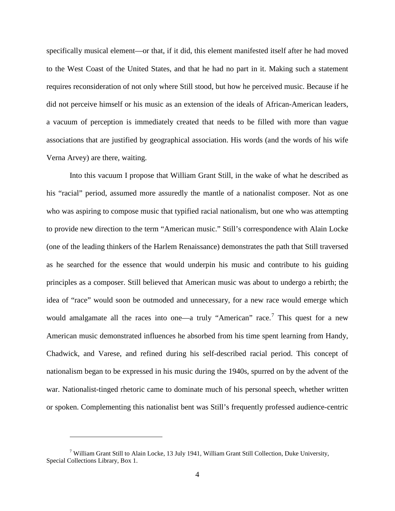specifically musical element—or that, if it did, this element manifested itself after he had moved to the West Coast of the United States, and that he had no part in it. Making such a statement requires reconsideration of not only where Still stood, but how he perceived music. Because if he did not perceive himself or his music as an extension of the ideals of African-American leaders, a vacuum of perception is immediately created that needs to be filled with more than vague associations that are justified by geographical association. His words (and the words of his wife Verna Arvey) are there, waiting.

Into this vacuum I propose that William Grant Still, in the wake of what he described as his "racial" period, assumed more assuredly the mantle of a nationalist composer. Not as one who was aspiring to compose music that typified racial nationalism, but one who was attempting to provide new direction to the term "American music." Still's correspondence with Alain Locke (one of the leading thinkers of the Harlem Renaissance) demonstrates the path that Still traversed as he searched for the essence that would underpin his music and contribute to his guiding principles as a composer. Still believed that American music was about to undergo a rebirth; the idea of "race" would soon be outmoded and unnecessary, for a new race would emerge which would amalgamate all the races into one—a truly "American" race.<sup>[7](#page-7-1)</sup> This quest for a new American music demonstrated influences he absorbed from his time spent learning from Handy, Chadwick, and Varese, and refined during his self-described racial period. This concept of nationalism began to be expressed in his music during the 1940s, spurred on by the advent of the war. Nationalist-tinged rhetoric came to dominate much of his personal speech, whether written or spoken. Complementing this nationalist bent was Still's frequently professed audience-centric

<span id="page-8-0"></span><sup>&</sup>lt;sup>7</sup> William Grant Still to Alain Locke, 13 July 1941, William Grant Still Collection, Duke University, Special Collections Library, Box 1.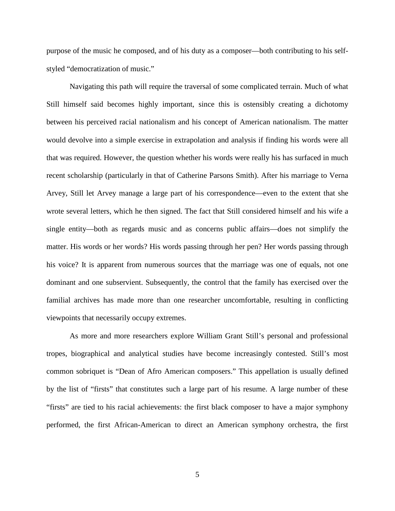purpose of the music he composed, and of his duty as a composer—both contributing to his selfstyled "democratization of music."

Navigating this path will require the traversal of some complicated terrain. Much of what Still himself said becomes highly important, since this is ostensibly creating a dichotomy between his perceived racial nationalism and his concept of American nationalism. The matter would devolve into a simple exercise in extrapolation and analysis if finding his words were all that was required. However, the question whether his words were really his has surfaced in much recent scholarship (particularly in that of Catherine Parsons Smith). After his marriage to Verna Arvey, Still let Arvey manage a large part of his correspondence—even to the extent that she wrote several letters, which he then signed. The fact that Still considered himself and his wife a single entity—both as regards music and as concerns public affairs—does not simplify the matter. His words or her words? His words passing through her pen? Her words passing through his voice? It is apparent from numerous sources that the marriage was one of equals, not one dominant and one subservient. Subsequently, the control that the family has exercised over the familial archives has made more than one researcher uncomfortable, resulting in conflicting viewpoints that necessarily occupy extremes.

As more and more researchers explore William Grant Still's personal and professional tropes, biographical and analytical studies have become increasingly contested. Still's most common sobriquet is "Dean of Afro American composers." This appellation is usually defined by the list of "firsts" that constitutes such a large part of his resume. A large number of these "firsts" are tied to his racial achievements: the first black composer to have a major symphony performed, the first African-American to direct an American symphony orchestra, the first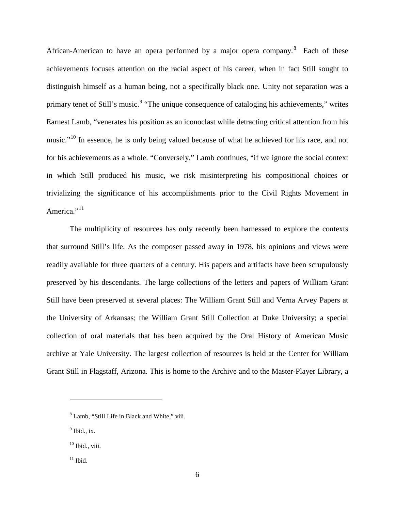African-American to have an opera performed by a major opera company.<sup>[8](#page-8-0)</sup> Each of these achievements focuses attention on the racial aspect of his career, when in fact Still sought to distinguish himself as a human being, not a specifically black one. Unity not separation was a primary tenet of Still's music.<sup>[9](#page-10-0)</sup> "The unique consequence of cataloging his achievements," writes Earnest Lamb, "venerates his position as an iconoclast while detracting critical attention from his music."<sup>[10](#page-10-1)</sup> In essence, he is only being valued because of what he achieved for his race, and not for his achievements as a whole. "Conversely," Lamb continues, "if we ignore the social context in which Still produced his music, we risk misinterpreting his compositional choices or trivializing the significance of his accomplishments prior to the Civil Rights Movement in America." $11$ 

The multiplicity of resources has only recently been harnessed to explore the contexts that surround Still's life. As the composer passed away in 1978, his opinions and views were readily available for three quarters of a century. His papers and artifacts have been scrupulously preserved by his descendants. The large collections of the letters and papers of William Grant Still have been preserved at several places: The William Grant Still and Verna Arvey Papers at the University of Arkansas; the William Grant Still Collection at Duke University; a special collection of oral materials that has been acquired by the Oral History of American Music archive at Yale University. The largest collection of resources is held at the Center for William Grant Still in Flagstaff, Arizona. This is home to the Archive and to the Master-Player Library, a

<sup>8</sup> Lamb, "Still Life in Black and White," viii.

<span id="page-10-0"></span> $<sup>9</sup>$  Ibid., ix.</sup>

<span id="page-10-3"></span><span id="page-10-1"></span><sup>&</sup>lt;sup>10</sup> Ibid., viii.

<span id="page-10-2"></span> $^{11}$  Ibid.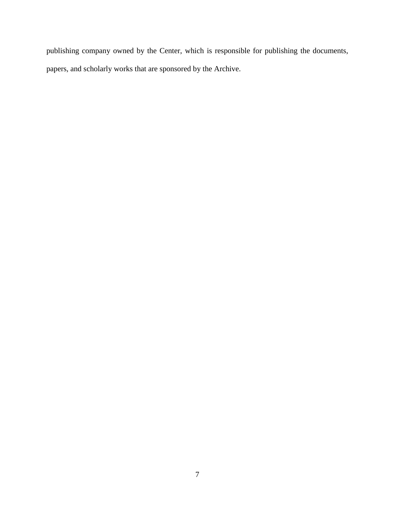publishing company owned by the Center, which is responsible for publishing the documents, papers, and scholarly works that are sponsored by the Archive.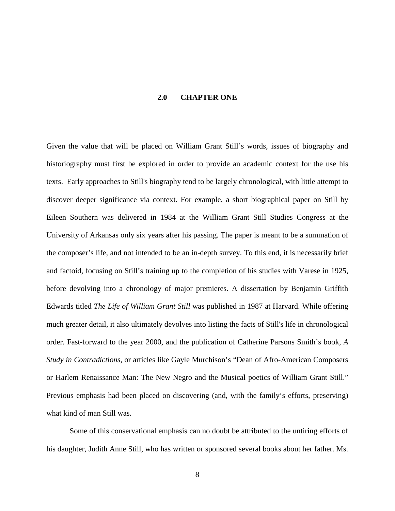## **2.0 CHAPTER ONE**

<span id="page-12-0"></span>Given the value that will be placed on William Grant Still's words, issues of biography and historiography must first be explored in order to provide an academic context for the use his texts. Early approaches to Still's biography tend to be largely chronological, with little attempt to discover deeper significance via context. For example, a short biographical paper on Still by Eileen Southern was delivered in 1984 at the William Grant Still Studies Congress at the University of Arkansas only six years after his passing. The paper is meant to be a summation of the composer's life, and not intended to be an in-depth survey. To this end, it is necessarily brief and factoid, focusing on Still's training up to the completion of his studies with Varese in 1925, before devolving into a chronology of major premieres. A dissertation by Benjamin Griffith Edwards titled *The Life of William Grant Still* was published in 1987 at Harvard. While offering much greater detail, it also ultimately devolves into listing the facts of Still's life in chronological order. Fast-forward to the year 2000, and the publication of Catherine Parsons Smith's book, *A Study in Contradictions*, or articles like Gayle Murchison's "Dean of Afro-American Composers or Harlem Renaissance Man: The New Negro and the Musical poetics of William Grant Still." Previous emphasis had been placed on discovering (and, with the family's efforts, preserving) what kind of man Still was.

Some of this conservational emphasis can no doubt be attributed to the untiring efforts of his daughter, Judith Anne Still, who has written or sponsored several books about her father. Ms.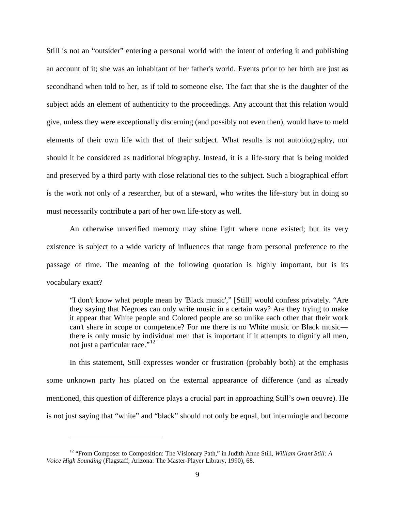Still is not an "outsider" entering a personal world with the intent of ordering it and publishing an account of it; she was an inhabitant of her father's world. Events prior to her birth are just as secondhand when told to her, as if told to someone else. The fact that she is the daughter of the subject adds an element of authenticity to the proceedings. Any account that this relation would give, unless they were exceptionally discerning (and possibly not even then), would have to meld elements of their own life with that of their subject. What results is not autobiography, nor should it be considered as traditional biography. Instead, it is a life-story that is being molded and preserved by a third party with close relational ties to the subject. Such a biographical effort is the work not only of a researcher, but of a steward, who writes the life-story but in doing so must necessarily contribute a part of her own life-story as well.

An otherwise unverified memory may shine light where none existed; but its very existence is subject to a wide variety of influences that range from personal preference to the passage of time. The meaning of the following quotation is highly important, but is its vocabulary exact?

"I don't know what people mean by 'Black music'," [Still] would confess privately. "Are they saying that Negroes can only write music in a certain way? Are they trying to make it appear that White people and Colored people are so unlike each other that their work can't share in scope or competence? For me there is no White music or Black music there is only music by individual men that is important if it attempts to dignify all men, not just a particular race."<sup>[12](#page-10-3)</sup>

In this statement, Still expresses wonder or frustration (probably both) at the emphasis some unknown party has placed on the external appearance of difference (and as already mentioned, this question of difference plays a crucial part in approaching Still's own oeuvre). He is not just saying that "white" and "black" should not only be equal, but intermingle and become

<span id="page-13-0"></span><sup>12</sup> "From Composer to Composition: The Visionary Path," in Judith Anne Still, *William Grant Still: A Voice High Sounding* (Flagstaff, Arizona: The Master-Player Library, 1990), 68.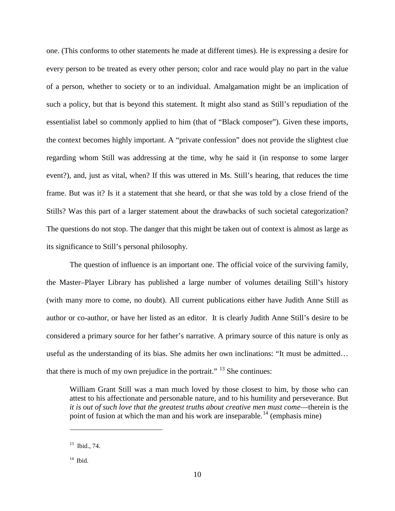one. (This conforms to other statements he made at different times). He is expressing a desire for every person to be treated as every other person; color and race would play no part in the value of a person, whether to society or to an individual. Amalgamation might be an implication of such a policy, but that is beyond this statement. It might also stand as Still's repudiation of the essentialist label so commonly applied to him (that of "Black composer"). Given these imports, the context becomes highly important. A "private confession" does not provide the slightest clue regarding whom Still was addressing at the time, why he said it (in response to some larger event?), and, just as vital, when? If this was uttered in Ms. Still's hearing, that reduces the time frame. But was it? Is it a statement that she heard, or that she was told by a close friend of the Stills? Was this part of a larger statement about the drawbacks of such societal categorization? The questions do not stop. The danger that this might be taken out of context is almost as large as its significance to Still's personal philosophy.

The question of influence is an important one. The official voice of the surviving family, the Master–Player Library has published a large number of volumes detailing Still's history (with many more to come, no doubt). All current publications either have Judith Anne Still as author or co-author, or have her listed as an editor. It is clearly Judith Anne Still's desire to be considered a primary source for her father's narrative. A primary source of this nature is only as useful as the understanding of its bias. She admits her own inclinations: "It must be admitted… that there is much of my own prejudice in the portrait."  $13$  She continues:

William Grant Still was a man much loved by those closest to him, by those who can attest to his affectionate and personable nature, and to his humility and perseverance. But *it is out of such love that the greatest truths about creative men must come—therein is the* point of fusion at which the man and his work are inseparable.<sup>[14](#page-14-0)</sup> (emphasis mine)

<sup>13</sup> Ibid., 74.

<span id="page-14-0"></span> $^{14}$  Ibid.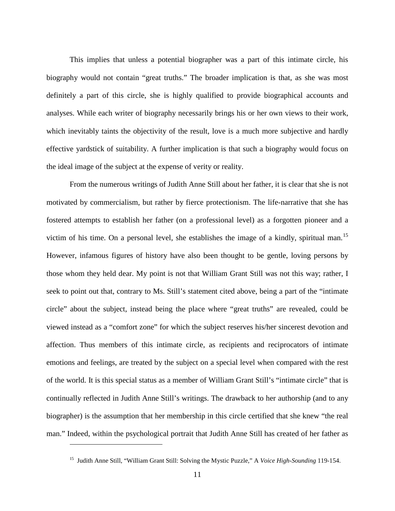This implies that unless a potential biographer was a part of this intimate circle, his biography would not contain "great truths." The broader implication is that, as she was most definitely a part of this circle, she is highly qualified to provide biographical accounts and analyses. While each writer of biography necessarily brings his or her own views to their work, which inevitably taints the objectivity of the result, love is a much more subjective and hardly effective yardstick of suitability. A further implication is that such a biography would focus on the ideal image of the subject at the expense of verity or reality.

From the numerous writings of Judith Anne Still about her father, it is clear that she is not motivated by commercialism, but rather by fierce protectionism. The life-narrative that she has fostered attempts to establish her father (on a professional level) as a forgotten pioneer and a victim of his time. On a personal level, she establishes the image of a kindly, spiritual man.[15](#page-14-0) However, infamous figures of history have also been thought to be gentle, loving persons by those whom they held dear. My point is not that William Grant Still was not this way; rather, I seek to point out that, contrary to Ms. Still's statement cited above, being a part of the "intimate circle" about the subject, instead being the place where "great truths" are revealed, could be viewed instead as a "comfort zone" for which the subject reserves his/her sincerest devotion and affection. Thus members of this intimate circle, as recipients and reciprocators of intimate emotions and feelings, are treated by the subject on a special level when compared with the rest of the world. It is this special status as a member of William Grant Still's "intimate circle" that is continually reflected in Judith Anne Still's writings. The drawback to her authorship (and to any biographer) is the assumption that her membership in this circle certified that she knew "the real man." Indeed, within the psychological portrait that Judith Anne Still has created of her father as

<span id="page-15-0"></span><sup>15</sup> Judith Anne Still, "William Grant Still: Solving the Mystic Puzzle," A *Voice High-Sounding* 119-154.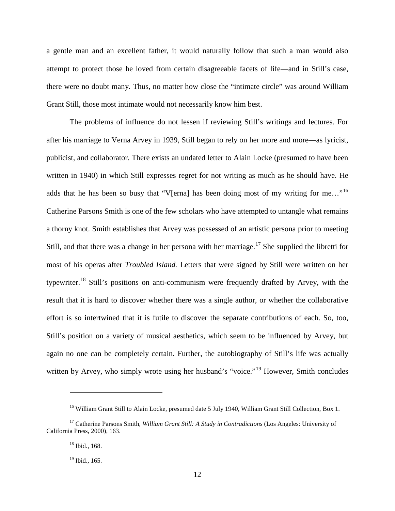a gentle man and an excellent father, it would naturally follow that such a man would also attempt to protect those he loved from certain disagreeable facets of life—and in Still's case, there were no doubt many. Thus, no matter how close the "intimate circle" was around William Grant Still, those most intimate would not necessarily know him best.

The problems of influence do not lessen if reviewing Still's writings and lectures. For after his marriage to Verna Arvey in 1939, Still began to rely on her more and more—as lyricist, publicist, and collaborator. There exists an undated letter to Alain Locke (presumed to have been written in 1940) in which Still expresses regret for not writing as much as he should have. He adds that he has been so busy that "V[erna] has been doing most of my writing for me..."<sup>[16](#page-15-0)</sup> Catherine Parsons Smith is one of the few scholars who have attempted to untangle what remains a thorny knot. Smith establishes that Arvey was possessed of an artistic persona prior to meeting Still, and that there was a change in her persona with her marriage.<sup>[17](#page-16-0)</sup> She supplied the libretti for most of his operas after *Troubled Island.* Letters that were signed by Still were written on her typewriter.<sup>[18](#page-16-1)</sup> Still's positions on anti-communism were frequently drafted by Arvey, with the result that it is hard to discover whether there was a single author, or whether the collaborative effort is so intertwined that it is futile to discover the separate contributions of each. So, too, Still's position on a variety of musical aesthetics, which seem to be influenced by Arvey, but again no one can be completely certain. Further, the autobiography of Still's life was actually written by Arvey, who simply wrote using her husband's "voice."<sup>[19](#page-16-2)</sup> However, Smith concludes

<sup>&</sup>lt;sup>16</sup> William Grant Still to Alain Locke, presumed date 5 July 1940, William Grant Still Collection, Box 1.

<span id="page-16-3"></span><span id="page-16-2"></span><span id="page-16-1"></span><span id="page-16-0"></span><sup>17</sup> Catherine Parsons Smith, *William Grant Still: A Study in Contradictions* (Los Angeles: University of California Press, 2000), 163.

 $18$  Ibid., 168.

<sup>&</sup>lt;sup>19</sup> Ibid., 165.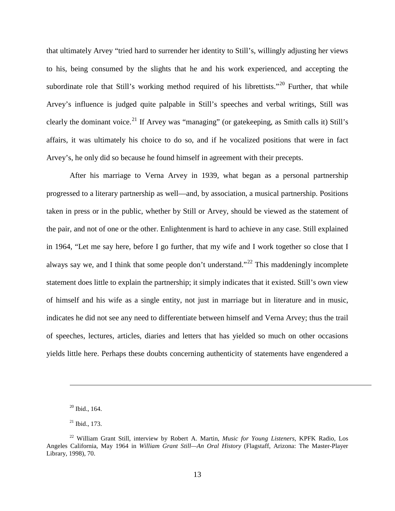that ultimately Arvey "tried hard to surrender her identity to Still's, willingly adjusting her views to his, being consumed by the slights that he and his work experienced, and accepting the subordinate role that Still's working method required of his librettists."<sup>[20](#page-16-3)</sup> Further, that while Arvey's influence is judged quite palpable in Still's speeches and verbal writings, Still was clearly the dominant voice.<sup>[21](#page-17-0)</sup> If Arvey was "managing" (or gatekeeping, as Smith calls it) Still's affairs, it was ultimately his choice to do so, and if he vocalized positions that were in fact Arvey's, he only did so because he found himself in agreement with their precepts.

After his marriage to Verna Arvey in 1939, what began as a personal partnership progressed to a literary partnership as well—and, by association, a musical partnership. Positions taken in press or in the public, whether by Still or Arvey, should be viewed as the statement of the pair, and not of one or the other. Enlightenment is hard to achieve in any case. Still explained in 1964, "Let me say here, before I go further, that my wife and I work together so close that I always say we, and I think that some people don't understand."<sup>[22](#page-17-1)</sup> This maddeningly incomplete statement does little to explain the partnership; it simply indicates that it existed. Still's own view of himself and his wife as a single entity, not just in marriage but in literature and in music, indicates he did not see any need to differentiate between himself and Verna Arvey; thus the trail of speeches, lectures, articles, diaries and letters that has yielded so much on other occasions yields little here. Perhaps these doubts concerning authenticity of statements have engendered a

 $20$  Ibid., 164.

 $21$  Ibid., 173.

<span id="page-17-2"></span><span id="page-17-1"></span><span id="page-17-0"></span><sup>22</sup> William Grant Still, interview by Robert A. Martin, *Music for Young Listeners*, KPFK Radio, Los Angeles California, May 1964 in *William Grant Still—An Oral History* (Flagstaff, Arizona: The Master-Player Library, 1998), 70.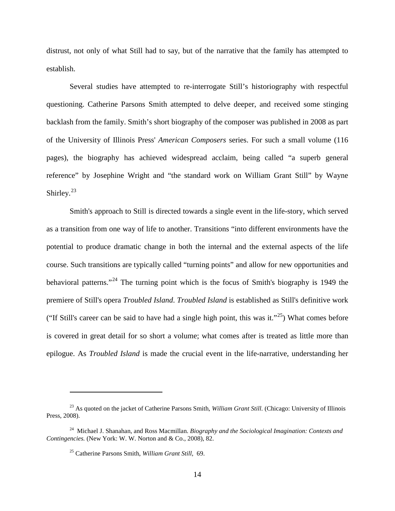distrust, not only of what Still had to say, but of the narrative that the family has attempted to establish.

Several studies have attempted to re-interrogate Still's historiography with respectful questioning. Catherine Parsons Smith attempted to delve deeper, and received some stinging backlash from the family. Smith's short biography of the composer was published in 2008 as part of the University of Illinois Press' *American Composers* series. For such a small volume (116 pages), the biography has achieved widespread acclaim, being called "a superb general reference" by Josephine Wright and "the standard work on William Grant Still" by Wayne Shirley.<sup>[23](#page-17-2)</sup>

Smith's approach to Still is directed towards a single event in the life-story, which served as a transition from one way of life to another. Transitions "into different environments have the potential to produce dramatic change in both the internal and the external aspects of the life course. Such transitions are typically called "turning points" and allow for new opportunities and behavioral patterns."[24](#page-18-0) The turning point which is the focus of Smith's biography is 1949 the premiere of Still's opera *Troubled Island*. *Troubled Island* is established as Still's definitive work ("If Still's career can be said to have had a single high point, this was it."<sup>[25](#page-18-1)</sup>) What comes before is covered in great detail for so short a volume; what comes after is treated as little more than epilogue. As *Troubled Island* is made the crucial event in the life-narrative, understanding her

<span id="page-18-2"></span><sup>&</sup>lt;sup>23</sup> As quoted on the jacket of Catherine Parsons Smith, *William Grant Still*. (Chicago: University of Illinois Press, 2008).

<span id="page-18-1"></span><span id="page-18-0"></span><sup>24</sup> Michael J. Shanahan, and Ross Macmillan. *Biography and the Sociological Imagination: Contexts and Contingencies.* (New York: W. W. Norton and & Co., 2008), 82.

<sup>25</sup> Catherine Parsons Smith, *William Grant Still*, 69.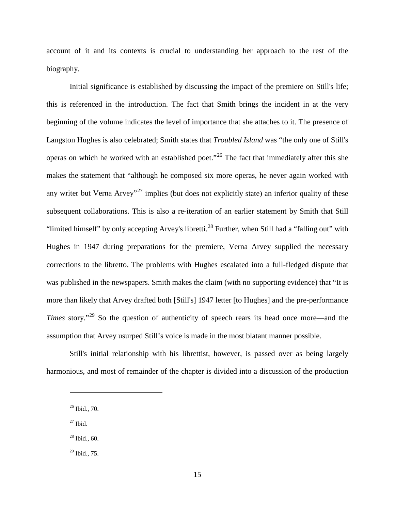account of it and its contexts is crucial to understanding her approach to the rest of the biography.

Initial significance is established by discussing the impact of the premiere on Still's life; this is referenced in the introduction. The fact that Smith brings the incident in at the very beginning of the volume indicates the level of importance that she attaches to it. The presence of Langston Hughes is also celebrated; Smith states that *Troubled Island* was "the only one of Still's operas on which he worked with an established poet."[26](#page-18-2) The fact that immediately after this she makes the statement that "although he composed six more operas, he never again worked with any writer but Verna Arvey"<sup>[27](#page-19-0)</sup> implies (but does not explicitly state) an inferior quality of these subsequent collaborations. This is also a re-iteration of an earlier statement by Smith that Still "limited himself" by only accepting Arvey's libretti.<sup>[28](#page-19-1)</sup> Further, when Still had a "falling out" with Hughes in 1947 during preparations for the premiere, Verna Arvey supplied the necessary corrections to the libretto. The problems with Hughes escalated into a full-fledged dispute that was published in the newspapers. Smith makes the claim (with no supporting evidence) that "It is more than likely that Arvey drafted both [Still's] 1947 letter [to Hughes] and the pre-performance *Times* story.<sup>"[29](#page-19-2)</sup> So the question of authenticity of speech rears its head once more—and the assumption that Arvey usurped Still's voice is made in the most blatant manner possible.

Still's initial relationship with his librettist, however, is passed over as being largely harmonious, and most of remainder of the chapter is divided into a discussion of the production

<span id="page-19-0"></span> $27$  Ibid.

 $26$  Ibid., 70.

<span id="page-19-1"></span> $28$  Ibid., 60.

<span id="page-19-2"></span> $^{29}$  Ibid., 75.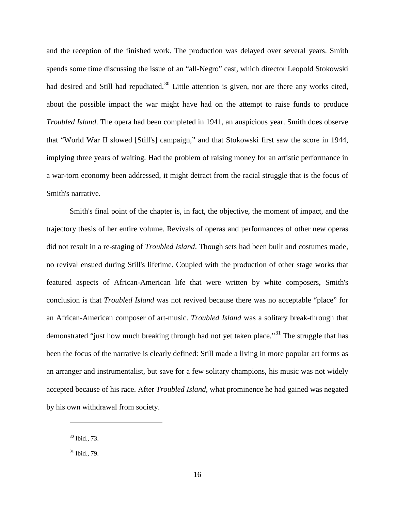and the reception of the finished work. The production was delayed over several years. Smith spends some time discussing the issue of an "all-Negro" cast, which director Leopold Stokowski had desired and Still had repudiated.<sup>[30](#page-19-1)</sup> Little attention is given, nor are there any works cited, about the possible impact the war might have had on the attempt to raise funds to produce *Troubled Island*. The opera had been completed in 1941, an auspicious year. Smith does observe that "World War II slowed [Still's] campaign," and that Stokowski first saw the score in 1944, implying three years of waiting. Had the problem of raising money for an artistic performance in a war-torn economy been addressed, it might detract from the racial struggle that is the focus of Smith's narrative.

Smith's final point of the chapter is, in fact, the objective, the moment of impact, and the trajectory thesis of her entire volume. Revivals of operas and performances of other new operas did not result in a re-staging of *Troubled Island*. Though sets had been built and costumes made, no revival ensued during Still's lifetime. Coupled with the production of other stage works that featured aspects of African-American life that were written by white composers, Smith's conclusion is that *Troubled Island* was not revived because there was no acceptable "place" for an African-American composer of art-music. *Troubled Island* was a solitary break-through that demonstrated "just how much breaking through had not yet taken place."<sup>[31](#page-20-0)</sup> The struggle that has been the focus of the narrative is clearly defined: Still made a living in more popular art forms as an arranger and instrumentalist, but save for a few solitary champions, his music was not widely accepted because of his race. After *Troubled Island*, what prominence he had gained was negated by his own withdrawal from society.

<span id="page-20-1"></span><sup>30</sup> Ibid., 73.

<span id="page-20-0"></span> $31$  Ibid., 79.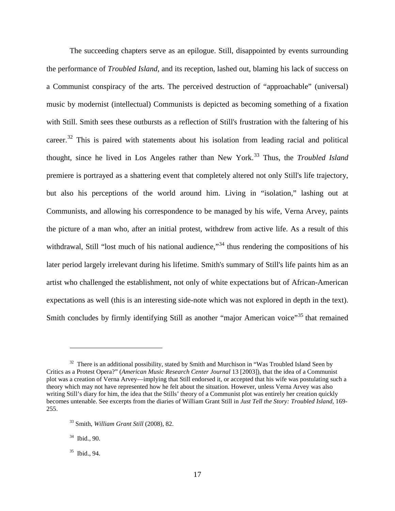The succeeding chapters serve as an epilogue. Still, disappointed by events surrounding the performance of *Troubled Island*, and its reception, lashed out, blaming his lack of success on a Communist conspiracy of the arts. The perceived destruction of "approachable" (universal) music by modernist (intellectual) Communists is depicted as becoming something of a fixation with Still. Smith sees these outbursts as a reflection of Still's frustration with the faltering of his career.<sup>[32](#page-20-1)</sup> This is paired with statements about his isolation from leading racial and political thought, since he lived in Los Angeles rather than New York.<sup>[33](#page-21-0)</sup> Thus, the *Troubled Island* premiere is portrayed as a shattering event that completely altered not only Still's life trajectory, but also his perceptions of the world around him. Living in "isolation," lashing out at Communists, and allowing his correspondence to be managed by his wife, Verna Arvey, paints the picture of a man who, after an initial protest, withdrew from active life. As a result of this withdrawal, Still "lost much of his national audience,"<sup>[34](#page-21-1)</sup> thus rendering the compositions of his later period largely irrelevant during his lifetime. Smith's summary of Still's life paints him as an artist who challenged the establishment, not only of white expectations but of African-American expectations as well (this is an interesting side-note which was not explored in depth in the text). Smith concludes by firmly identifying Still as another "major American voice"<sup>[35](#page-21-2)</sup> that remained

 $32$  There is an additional possibility, stated by Smith and Murchison in "Was Troubled Island Seen by Critics as a Protest Opera?" (*American Music Research Center Journal* 13 [2003]), that the idea of a Communist plot was a creation of Verna Arvey—implying that Still endorsed it, or accepted that his wife was postulating such a theory which may not have represented how he felt about the situation. However, unless Verna Arvey was also writing Still's diary for him, the idea that the Stills' theory of a Communist plot was entirely her creation quickly becomes untenable. See excerpts from the diaries of William Grant Still in *Just Tell the Story: Troubled Island*, 169- 255.

<span id="page-21-0"></span><sup>33</sup> Smith, *William Grant Still* (2008), 82.

<span id="page-21-1"></span><sup>34</sup> Ibid., 90.

<span id="page-21-3"></span><span id="page-21-2"></span><sup>35</sup> Ibid., 94.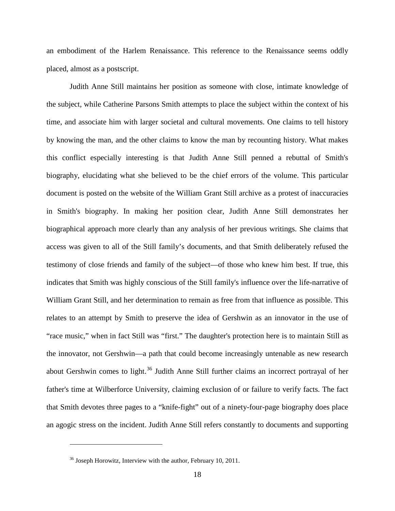an embodiment of the Harlem Renaissance. This reference to the Renaissance seems oddly placed, almost as a postscript.

Judith Anne Still maintains her position as someone with close, intimate knowledge of the subject, while Catherine Parsons Smith attempts to place the subject within the context of his time, and associate him with larger societal and cultural movements. One claims to tell history by knowing the man, and the other claims to know the man by recounting history. What makes this conflict especially interesting is that Judith Anne Still penned a rebuttal of Smith's biography, elucidating what she believed to be the chief errors of the volume. This particular document is posted on the website of the William Grant Still archive as a protest of inaccuracies in Smith's biography. In making her position clear, Judith Anne Still demonstrates her biographical approach more clearly than any analysis of her previous writings. She claims that access was given to all of the Still family's documents, and that Smith deliberately refused the testimony of close friends and family of the subject—of those who knew him best. If true, this indicates that Smith was highly conscious of the Still family's influence over the life-narrative of William Grant Still, and her determination to remain as free from that influence as possible. This relates to an attempt by Smith to preserve the idea of Gershwin as an innovator in the use of "race music," when in fact Still was "first." The daughter's protection here is to maintain Still as the innovator, not Gershwin—a path that could become increasingly untenable as new research about Gershwin comes to light.<sup>[36](#page-21-3)</sup> Judith Anne Still further claims an incorrect portrayal of her father's time at Wilberforce University, claiming exclusion of or failure to verify facts. The fact that Smith devotes three pages to a "knife-fight" out of a ninety-four-page biography does place an agogic stress on the incident. Judith Anne Still refers constantly to documents and supporting

<span id="page-22-0"></span><sup>&</sup>lt;sup>36</sup> Joseph Horowitz, Interview with the author, February 10, 2011.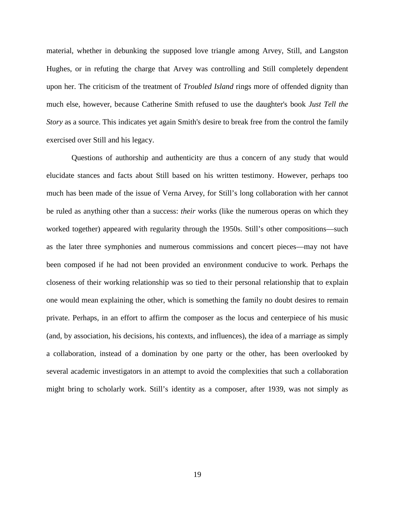material, whether in debunking the supposed love triangle among Arvey, Still, and Langston Hughes, or in refuting the charge that Arvey was controlling and Still completely dependent upon her. The criticism of the treatment of *Troubled Island* rings more of offended dignity than much else, however, because Catherine Smith refused to use the daughter's book *Just Tell the Story* as a source. This indicates yet again Smith's desire to break free from the control the family exercised over Still and his legacy.

Questions of authorship and authenticity are thus a concern of any study that would elucidate stances and facts about Still based on his written testimony. However, perhaps too much has been made of the issue of Verna Arvey, for Still's long collaboration with her cannot be ruled as anything other than a success: *their* works (like the numerous operas on which they worked together) appeared with regularity through the 1950s. Still's other compositions—such as the later three symphonies and numerous commissions and concert pieces—may not have been composed if he had not been provided an environment conducive to work. Perhaps the closeness of their working relationship was so tied to their personal relationship that to explain one would mean explaining the other, which is something the family no doubt desires to remain private. Perhaps, in an effort to affirm the composer as the locus and centerpiece of his music (and, by association, his decisions, his contexts, and influences), the idea of a marriage as simply a collaboration, instead of a domination by one party or the other, has been overlooked by several academic investigators in an attempt to avoid the complexities that such a collaboration might bring to scholarly work. Still's identity as a composer, after 1939, was not simply as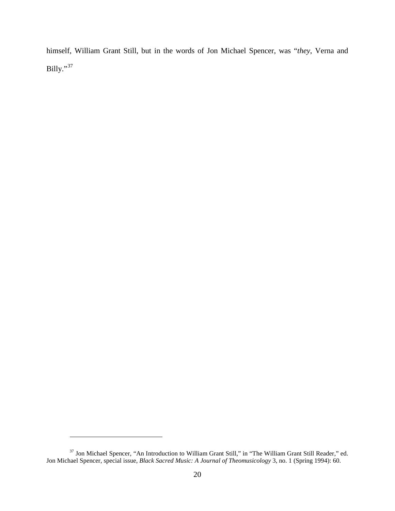himself, William Grant Still, but in the words of Jon Michael Spencer, was "*they*, Verna and Billy."[37](#page-22-0)

<span id="page-24-0"></span><sup>37</sup> Jon Michael Spencer, "An Introduction to William Grant Still," in "The William Grant Still Reader," ed. Jon Michael Spencer, special issue, *Black Sacred Music: A Journal of Theomusicology* 3, no. 1 (Spring 1994): 60.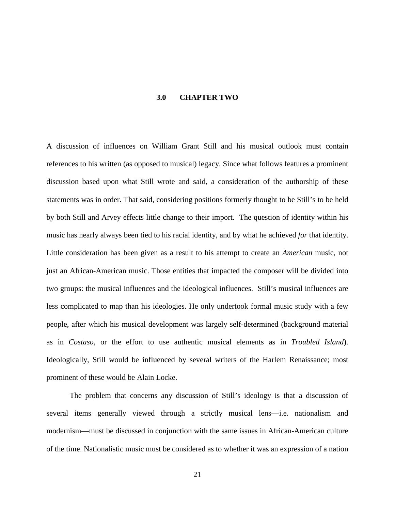## **3.0 CHAPTER TWO**

<span id="page-25-0"></span>A discussion of influences on William Grant Still and his musical outlook must contain references to his written (as opposed to musical) legacy. Since what follows features a prominent discussion based upon what Still wrote and said, a consideration of the authorship of these statements was in order. That said, considering positions formerly thought to be Still's to be held by both Still and Arvey effects little change to their import. The question of identity within his music has nearly always been tied to his racial identity, and by what he achieved *for* that identity. Little consideration has been given as a result to his attempt to create an *American* music, not just an African-American music. Those entities that impacted the composer will be divided into two groups: the musical influences and the ideological influences. Still's musical influences are less complicated to map than his ideologies. He only undertook formal music study with a few people, after which his musical development was largely self-determined (background material as in *Costaso,* or the effort to use authentic musical elements as in *Troubled Island*). Ideologically, Still would be influenced by several writers of the Harlem Renaissance; most prominent of these would be Alain Locke.

The problem that concerns any discussion of Still's ideology is that a discussion of several items generally viewed through a strictly musical lens—i.e. nationalism and modernism—must be discussed in conjunction with the same issues in African-American culture of the time. Nationalistic music must be considered as to whether it was an expression of a nation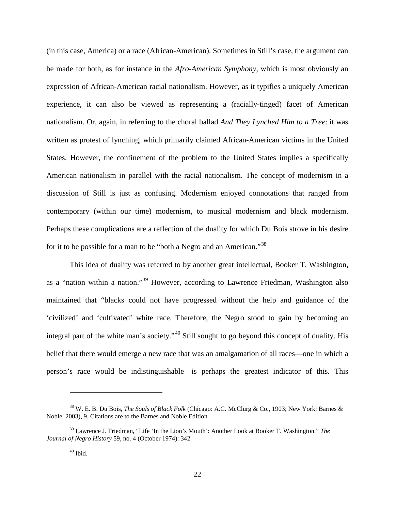(in this case, America) or a race (African-American). Sometimes in Still's case, the argument can be made for both, as for instance in the *Afro-American Symphony*, which is most obviously an expression of African-American racial nationalism. However, as it typifies a uniquely American experience, it can also be viewed as representing a (racially-tinged) facet of American nationalism. Or, again, in referring to the choral ballad *And They Lynched Him to a Tree*: it was written as protest of lynching, which primarily claimed African-American victims in the United States. However, the confinement of the problem to the United States implies a specifically American nationalism in parallel with the racial nationalism. The concept of modernism in a discussion of Still is just as confusing. Modernism enjoyed connotations that ranged from contemporary (within our time) modernism, to musical modernism and black modernism. Perhaps these complications are a reflection of the duality for which Du Bois strove in his desire for it to be possible for a man to be "both a Negro and an American."<sup>[38](#page-24-0)</sup>

This idea of duality was referred to by another great intellectual, Booker T. Washington, as a "nation within a nation."[39](#page-26-0) However, according to Lawrence Friedman, Washington also maintained that "blacks could not have progressed without the help and guidance of the 'civilized' and 'cultivated' white race. Therefore, the Negro stood to gain by becoming an integral part of the white man's society."<sup>[40](#page-26-1)</sup> Still sought to go beyond this concept of duality. His belief that there would emerge a new race that was an amalgamation of all races—one in which a person's race would be indistinguishable—is perhaps the greatest indicator of this. This

<sup>38</sup> W. E. B. Du Bois, *The Souls of Black Folk* (Chicago: A.C. McClurg & Co., 1903; New York: Barnes & Noble, 2003), 9. Citations are to the Barnes and Noble Edition.

<span id="page-26-2"></span><span id="page-26-1"></span><span id="page-26-0"></span><sup>39</sup> Lawrence J. Friedman, "Life 'In the Lion's Mouth': Another Look at Booker T. Washington," *The Journal of Negro History* 59, no. 4 (October 1974): 342

 $40$  Ibid.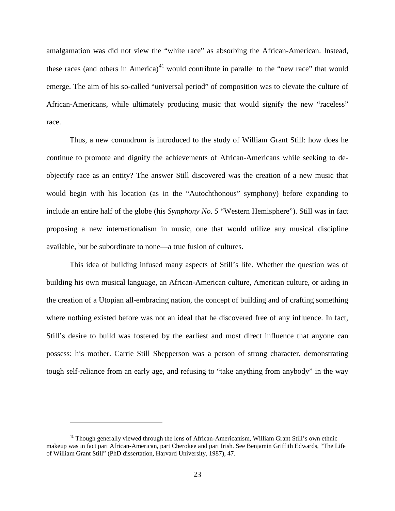amalgamation was did not view the "white race" as absorbing the African-American. Instead, these races (and others in America)<sup>[41](#page-26-2)</sup> would contribute in parallel to the "new race" that would emerge. The aim of his so-called "universal period" of composition was to elevate the culture of African-Americans, while ultimately producing music that would signify the new "raceless" race.

Thus, a new conundrum is introduced to the study of William Grant Still: how does he continue to promote and dignify the achievements of African-Americans while seeking to deobjectify race as an entity? The answer Still discovered was the creation of a new music that would begin with his location (as in the "Autochthonous" symphony) before expanding to include an entire half of the globe (his *Symphony No. 5* "Western Hemisphere"). Still was in fact proposing a new internationalism in music, one that would utilize any musical discipline available, but be subordinate to none—a true fusion of cultures.

This idea of building infused many aspects of Still's life. Whether the question was of building his own musical language, an African-American culture, American culture, or aiding in the creation of a Utopian all-embracing nation, the concept of building and of crafting something where nothing existed before was not an ideal that he discovered free of any influence. In fact, Still's desire to build was fostered by the earliest and most direct influence that anyone can possess: his mother. Carrie Still Shepperson was a person of strong character, demonstrating tough self-reliance from an early age, and refusing to "take anything from anybody" in the way

<span id="page-27-0"></span><sup>&</sup>lt;sup>41</sup> Though generally viewed through the lens of African-Americanism, William Grant Still's own ethnic makeup was in fact part African-American, part Cherokee and part Irish. See Benjamin Griffith Edwards, "The Life of William Grant Still" (PhD dissertation, Harvard University, 1987), 47.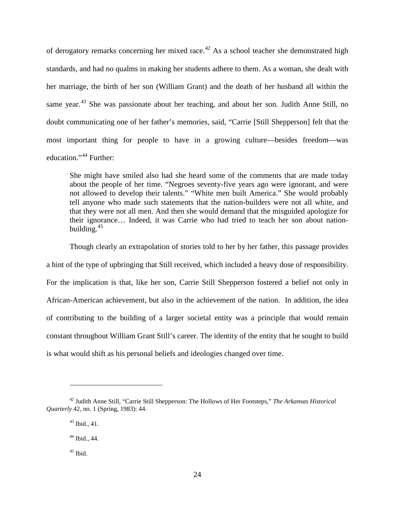of derogatory remarks concerning her mixed race.<sup>[42](#page-27-0)</sup> As a school teacher she demonstrated high standards, and had no qualms in making her students adhere to them. As a woman, she dealt with her marriage, the birth of her son (William Grant) and the death of her husband all within the same year.<sup>[43](#page-28-0)</sup> She was passionate about her teaching, and about her son. Judith Anne Still, no doubt communicating one of her father's memories, said, "Carrie [Still Shepperson] felt that the most important thing for people to have in a growing culture—besides freedom—was education."<sup>[44](#page-28-1)</sup> Further:

She might have smiled also had she heard some of the comments that are made today about the people of her time. "Negroes seventy-five years ago were ignorant, and were not allowed to develop their talents." "White men built America." She would probably tell anyone who made such statements that the nation-builders were not all white, and that they were not all men. And then she would demand that the misguided apologize for their ignorance… Indeed, it was Carrie who had tried to teach her son about nationbuilding. $45$ 

Though clearly an extrapolation of stories told to her by her father, this passage provides a hint of the type of upbringing that Still received, which included a heavy dose of responsibility. For the implication is that, like her son, Carrie Still Shepperson fostered a belief not only in African-American achievement, but also in the achievement of the nation. In addition, the idea of contributing to the building of a larger societal entity was a principle that would remain constant throughout William Grant Still's career. The identity of the entity that he sought to build is what would shift as his personal beliefs and ideologies changed over time.

<span id="page-28-3"></span><span id="page-28-1"></span><span id="page-28-0"></span><sup>42</sup> Judith Anne Still, "Carrie Still Shepperson: The Hollows of Her Footsteps," *The Arkansas Historical Quarterly* 42, no. 1 (Spring, 1983): 44.

<sup>43</sup> Ibid., 41.

<sup>44</sup> Ibid., 44.

<span id="page-28-2"></span> $45$  Ibid.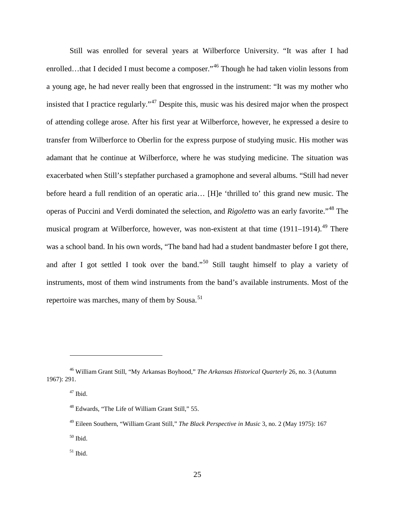Still was enrolled for several years at Wilberforce University. "It was after I had enrolled…that I decided I must become a composer."<sup>[46](#page-28-3)</sup> Though he had taken violin lessons from a young age, he had never really been that engrossed in the instrument: "It was my mother who insisted that I practice regularly."[47](#page-29-0) Despite this, music was his desired major when the prospect of attending college arose. After his first year at Wilberforce, however, he expressed a desire to transfer from Wilberforce to Oberlin for the express purpose of studying music. His mother was adamant that he continue at Wilberforce, where he was studying medicine. The situation was exacerbated when Still's stepfather purchased a gramophone and several albums. "Still had never before heard a full rendition of an operatic aria… [H]e 'thrilled to' this grand new music. The operas of Puccini and Verdi dominated the selection, and *Rigoletto* was an early favorite."[48](#page-29-1) The musical program at Wilberforce, however, was non-existent at that time  $(1911-1914)$ .<sup>[49](#page-29-2)</sup> There was a school band. In his own words, "The band had had a student bandmaster before I got there, and after I got settled I took over the band."<sup>[50](#page-29-3)</sup> Still taught himself to play a variety of instruments, most of them wind instruments from the band's available instruments. Most of the repertoire was marches, many of them by Sousa.<sup>[51](#page-29-4)</sup>

 $\overline{a}$ 

<span id="page-29-3"></span> $\rm ^{50}$  Ibid.

<span id="page-29-5"></span><span id="page-29-1"></span><span id="page-29-0"></span><sup>46</sup> William Grant Still, "My Arkansas Boyhood," *The Arkansas Historical Quarterly* 26, no. 3 (Autumn 1967): 291.

<sup>47</sup> Ibid.

<sup>48</sup> Edwards, "The Life of William Grant Still," 55.

<span id="page-29-2"></span><sup>49</sup> Eileen Southern, "William Grant Still," *The Black Perspective in Music* 3, no. 2 (May 1975): 167

<span id="page-29-4"></span> $51$  Ibid.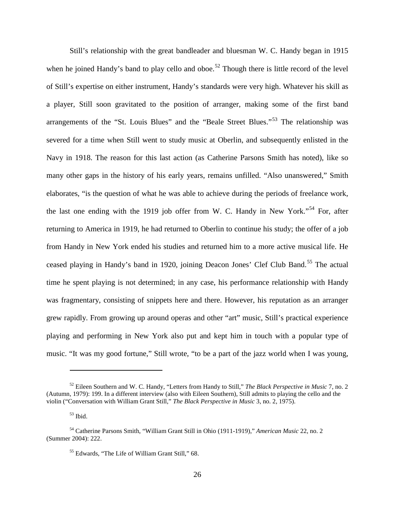Still's relationship with the great bandleader and bluesman W. C. Handy began in 1915 when he joined Handy's band to play cello and oboe.<sup>[52](#page-29-5)</sup> Though there is little record of the level of Still's expertise on either instrument, Handy's standards were very high. Whatever his skill as a player, Still soon gravitated to the position of arranger, making some of the first band arrangements of the "St. Louis Blues" and the "Beale Street Blues."<sup>[53](#page-30-0)</sup> The relationship was severed for a time when Still went to study music at Oberlin, and subsequently enlisted in the Navy in 1918. The reason for this last action (as Catherine Parsons Smith has noted), like so many other gaps in the history of his early years, remains unfilled. "Also unanswered," Smith elaborates, "is the question of what he was able to achieve during the periods of freelance work, the last one ending with the 1919 job offer from W. C. Handy in New York."<sup>[54](#page-30-1)</sup> For, after returning to America in 1919, he had returned to Oberlin to continue his study; the offer of a job from Handy in New York ended his studies and returned him to a more active musical life. He ceased playing in Handy's band in 1920, joining Deacon Jones' Clef Club Band.<sup>[55](#page-30-2)</sup> The actual time he spent playing is not determined; in any case, his performance relationship with Handy was fragmentary, consisting of snippets here and there. However, his reputation as an arranger grew rapidly. From growing up around operas and other "art" music, Still's practical experience playing and performing in New York also put and kept him in touch with a popular type of music. "It was my good fortune," Still wrote, "to be a part of the jazz world when I was young,

<span id="page-30-3"></span><sup>52</sup> Eileen Southern and W. C. Handy, "Letters from Handy to Still," *The Black Perspective in Music* 7, no. 2 (Autumn, 1979): 199. In a different interview (also with Eileen Southern), Still admits to playing the cello and the violin ("Conversation with William Grant Still," *The Black Perspective in Music* 3, no. 2, 1975).

 $53$  Ibid.

<span id="page-30-2"></span><span id="page-30-1"></span><span id="page-30-0"></span><sup>54</sup> Catherine Parsons Smith, "William Grant Still in Ohio (1911-1919)," *American Music* 22, no. 2 (Summer 2004): 222.

<sup>55</sup> Edwards, "The Life of William Grant Still," 68.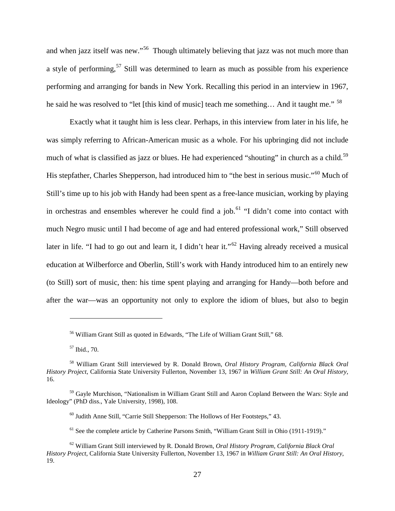and when jazz itself was new."<sup>56</sup> Though ultimately believing that jazz was not much more than a style of performing,<sup>[57](#page-31-0)</sup> Still was determined to learn as much as possible from his experience performing and arranging for bands in New York. Recalling this period in an interview in 1967, he said he was resolved to "let [this kind of music] teach me something... And it taught me." <sup>[58](#page-31-1)</sup>

Exactly what it taught him is less clear. Perhaps, in this interview from later in his life, he was simply referring to African-American music as a whole. For his upbringing did not include much of what is classified as jazz or blues. He had experienced "shouting" in church as a child.<sup>[59](#page-31-2)</sup> His stepfather, Charles Shepperson, had introduced him to "the best in serious music."<sup>[60](#page-31-3)</sup> Much of Still's time up to his job with Handy had been spent as a free-lance musician, working by playing in orchestras and ensembles wherever he could find a job. $<sup>61</sup>$  $<sup>61</sup>$  $<sup>61</sup>$  "I didn't come into contact with</sup> much Negro music until I had become of age and had entered professional work," Still observed later in life. "I had to go out and learn it, I didn't hear it."<sup>[62](#page-31-5)</sup> Having already received a musical education at Wilberforce and Oberlin, Still's work with Handy introduced him to an entirely new (to Still) sort of music, then: his time spent playing and arranging for Handy—both before and after the war—was an opportunity not only to explore the idiom of blues, but also to begin

<sup>56</sup> William Grant Still as quoted in Edwards, "The Life of William Grant Still," 68.

<sup>57</sup> Ibid., 70.

<span id="page-31-1"></span><span id="page-31-0"></span><sup>58</sup> William Grant Still interviewed by R. Donald Brown, *Oral History Program, California Black Oral History Project*, California State University Fullerton, November 13, 1967 in *William Grant Still: An Oral History*, 16.

<span id="page-31-3"></span><span id="page-31-2"></span><sup>&</sup>lt;sup>59</sup> Gayle Murchison, "Nationalism in William Grant Still and Aaron Copland Between the Wars: Style and Ideology" (PhD diss., Yale University, 1998), 108.

 $60$  Judith Anne Still, "Carrie Still Shepperson: The Hollows of Her Footsteps," 43.

 $61$  See the complete article by Catherine Parsons Smith, "William Grant Still in Ohio (1911-1919)."

<span id="page-31-5"></span><span id="page-31-4"></span><sup>62</sup> William Grant Still interviewed by R. Donald Brown, *Oral History Program, California Black Oral History Project*, California State University Fullerton, November 13, 1967 in *William Grant Still: An Oral History*, 19.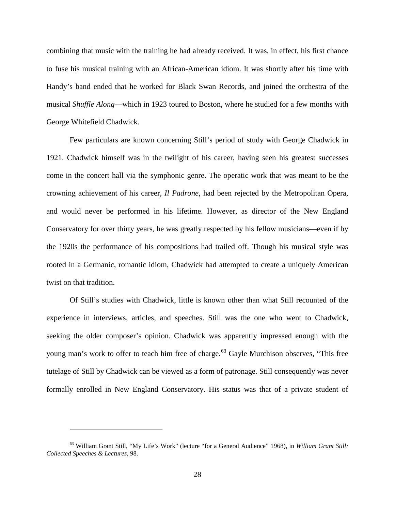combining that music with the training he had already received. It was, in effect, his first chance to fuse his musical training with an African-American idiom. It was shortly after his time with Handy's band ended that he worked for Black Swan Records, and joined the orchestra of the musical *Shuffle Along*—which in 1923 toured to Boston, where he studied for a few months with George Whitefield Chadwick.

Few particulars are known concerning Still's period of study with George Chadwick in 1921. Chadwick himself was in the twilight of his career, having seen his greatest successes come in the concert hall via the symphonic genre. The operatic work that was meant to be the crowning achievement of his career, *Il Padrone*, had been rejected by the Metropolitan Opera, and would never be performed in his lifetime. However, as director of the New England Conservatory for over thirty years, he was greatly respected by his fellow musicians—even if by the 1920s the performance of his compositions had trailed off. Though his musical style was rooted in a Germanic, romantic idiom, Chadwick had attempted to create a uniquely American twist on that tradition.

<span id="page-32-0"></span>Of Still's studies with Chadwick, little is known other than what Still recounted of the experience in interviews, articles, and speeches. Still was the one who went to Chadwick, seeking the older composer's opinion. Chadwick was apparently impressed enough with the young man's work to offer to teach him free of charge.<sup>[63](#page-31-5)</sup> Gayle Murchison observes, "This free tutelage of Still by Chadwick can be viewed as a form of patronage. Still consequently was never formally enrolled in New England Conservatory. His status was that of a private student of

<sup>63</sup> William Grant Still, "My Life's Work" (lecture "for a General Audience" 1968), in *William Grant Still: Collected Speeches & Lectures,* 98.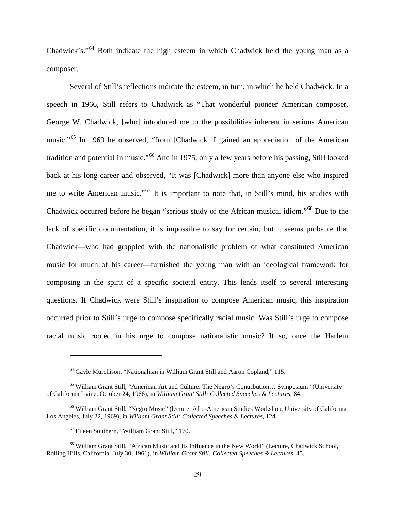Chadwick's."[64](#page-32-0) Both indicate the high esteem in which Chadwick held the young man as a composer.

Several of Still's reflections indicate the esteem, in turn, in which he held Chadwick. In a speech in 1966, Still refers to Chadwick as "That wonderful pioneer American composer, George W. Chadwick, [who] introduced me to the possibilities inherent in serious American music."[65](#page-33-0) In 1969 he observed, "from [Chadwick] I gained an appreciation of the American tradition and potential in music."[66](#page-33-1) And in 1975, only a few years before his passing, Still looked back at his long career and observed, "It was [Chadwick] more than anyone else who inspired me to write American music."[67](#page-33-2) It is important to note that, in Still's mind, his studies with Chadwick occurred before he began "serious study of the African musical idiom."[68](#page-33-3) Due to the lack of specific documentation, it is impossible to say for certain, but it seems probable that Chadwick—who had grappled with the nationalistic problem of what constituted American music for much of his career—furnished the young man with an ideological framework for composing in the spirit of a specific societal entity. This lends itself to several interesting questions. If Chadwick were Still's inspiration to compose American music, this inspiration occurred prior to Still's urge to compose specifically racial music. Was Still's urge to compose racial music rooted in his urge to compose nationalistic music? If so, once the Harlem

<sup>64</sup> Gayle Murchison, "Nationalism in William Grant Still and Aaron Copland," 115.

<span id="page-33-0"></span><sup>65</sup> William Grant Still, "American Art and Culture: The Negro's Contribution… Symposium" (University of California Irvine, October 24, 1966), in *William Grant Still: Collected Speeches & Lectures*, 84.

<span id="page-33-1"></span><sup>66</sup> William Grant Still, "Negro Music" (lecture, Afro-American Studies Workshop, University of California Los Angeles, July 22, 1969), in *William Grant Still: Collected Speeches & Lectures*, 124.

<sup>67</sup> Eileen Southern, "William Grant Still," 170.

<span id="page-33-4"></span><span id="page-33-3"></span><span id="page-33-2"></span><sup>68</sup> William Grant Still, "African Music and Its Influence in the New World" (Lecture, Chadwick School, Rolling Hills, California, July 30, 1961), in *William Grant Still: Collected Speeches & Lectures*, 45.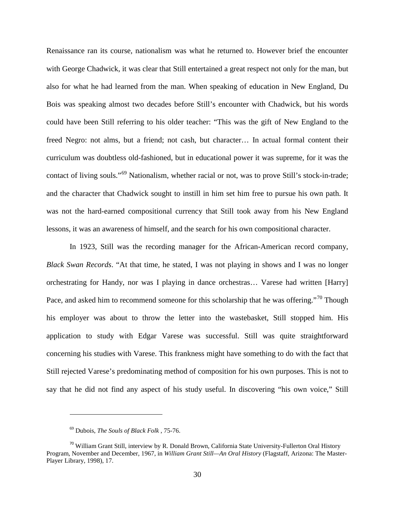Renaissance ran its course, nationalism was what he returned to. However brief the encounter with George Chadwick, it was clear that Still entertained a great respect not only for the man, but also for what he had learned from the man. When speaking of education in New England, Du Bois was speaking almost two decades before Still's encounter with Chadwick, but his words could have been Still referring to his older teacher: "This was the gift of New England to the freed Negro: not alms, but a friend; not cash, but character… In actual formal content their curriculum was doubtless old-fashioned, but in educational power it was supreme, for it was the contact of living souls."[69](#page-33-4) Nationalism, whether racial or not, was to prove Still's stock-in-trade; and the character that Chadwick sought to instill in him set him free to pursue his own path. It was not the hard-earned compositional currency that Still took away from his New England lessons, it was an awareness of himself, and the search for his own compositional character.

In 1923, Still was the recording manager for the African-American record company, *Black Swan Records*. "At that time, he stated, I was not playing in shows and I was no longer orchestrating for Handy, nor was I playing in dance orchestras… Varese had written [Harry] Pace, and asked him to recommend someone for this scholarship that he was offering."<sup>[70](#page-34-0)</sup> Though his employer was about to throw the letter into the wastebasket, Still stopped him. His application to study with Edgar Varese was successful. Still was quite straightforward concerning his studies with Varese. This frankness might have something to do with the fact that Still rejected Varese's predominating method of composition for his own purposes. This is not to say that he did not find any aspect of his study useful. In discovering "his own voice," Still

<sup>69</sup> Dubois, *The Souls of Black Folk* , 75-76.

<span id="page-34-1"></span><span id="page-34-0"></span><sup>&</sup>lt;sup>70</sup> William Grant Still, interview by R. Donald Brown, California State University-Fullerton Oral History Program, November and December, 1967, in *William Grant Still—An Oral History* (Flagstaff, Arizona: The Master-Player Library, 1998), 17.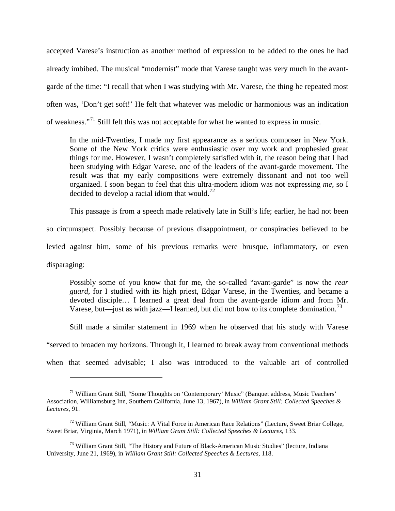accepted Varese's instruction as another method of expression to be added to the ones he had already imbibed. The musical "modernist" mode that Varese taught was very much in the avantgarde of the time: "I recall that when I was studying with Mr. Varese, the thing he repeated most often was, 'Don't get soft!' He felt that whatever was melodic or harmonious was an indication of weakness."[71](#page-34-1) Still felt this was not acceptable for what he wanted to express in music.

In the mid-Twenties, I made my first appearance as a serious composer in New York. Some of the New York critics were enthusiastic over my work and prophesied great things for me. However, I wasn't completely satisfied with it, the reason being that I had been studying with Edgar Varese, one of the leaders of the avant-garde movement. The result was that my early compositions were extremely dissonant and not too well organized. I soon began to feel that this ultra-modern idiom was not expressing *me*, so I decided to develop a racial idiom that would.<sup>[72](#page-35-0)</sup>

This passage is from a speech made relatively late in Still's life; earlier, he had not been

so circumspect. Possibly because of previous disappointment, or conspiracies believed to be

levied against him, some of his previous remarks were brusque, inflammatory, or even

disparaging:

 $\overline{a}$ 

Possibly some of you know that for me, the so-called "avant-garde" is now the *rear guard*, for I studied with its high priest, Edgar Varese, in the Twenties, and became a devoted disciple… I learned a great deal from the avant-garde idiom and from Mr. Varese, but—just as with jazz—I learned, but did not bow to its complete domination.<sup>[73](#page-35-1)</sup>

Still made a similar statement in 1969 when he observed that his study with Varese

"served to broaden my horizons. Through it, I learned to break away from conventional methods

when that seemed advisable; I also was introduced to the valuable art of controlled

<sup>71</sup> William Grant Still, "Some Thoughts on 'Contemporary' Music" (Banquet address, Music Teachers' Association, Williamsburg Inn, Southern California, June 13, 1967), in *William Grant Still: Collected Speeches & Lectures*, 91.

<span id="page-35-2"></span><span id="page-35-0"></span> $72$  William Grant Still, "Music: A Vital Force in American Race Relations" (Lecture, Sweet Briar College, Sweet Briar, Virginia, March 1971), in *William Grant Still: Collected Speeches & Lectures*, 133.

<span id="page-35-1"></span><sup>&</sup>lt;sup>73</sup> William Grant Still, "The History and Future of Black-American Music Studies" (lecture, Indiana University, June 21, 1969), in *William Grant Still: Collected Speeches & Lectures*, 118.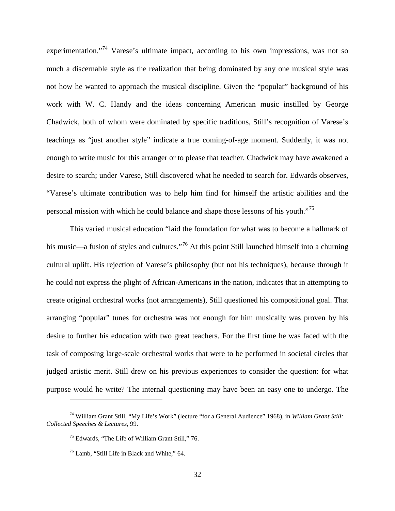experimentation."<sup>[74](#page-35-2)</sup> Varese's ultimate impact, according to his own impressions, was not so much a discernable style as the realization that being dominated by any one musical style was not how he wanted to approach the musical discipline. Given the "popular" background of his work with W. C. Handy and the ideas concerning American music instilled by George Chadwick, both of whom were dominated by specific traditions, Still's recognition of Varese's teachings as "just another style" indicate a true coming-of-age moment. Suddenly, it was not enough to write music for this arranger or to please that teacher. Chadwick may have awakened a desire to search; under Varese, Still discovered what he needed to search for. Edwards observes, "Varese's ultimate contribution was to help him find for himself the artistic abilities and the personal mission with which he could balance and shape those lessons of his youth."[75](#page-36-0)

This varied musical education "laid the foundation for what was to become a hallmark of his music—a fusion of styles and cultures."<sup>[76](#page-36-1)</sup> At this point Still launched himself into a churning cultural uplift. His rejection of Varese's philosophy (but not his techniques), because through it he could not express the plight of African-Americans in the nation, indicates that in attempting to create original orchestral works (not arrangements), Still questioned his compositional goal. That arranging "popular" tunes for orchestra was not enough for him musically was proven by his desire to further his education with two great teachers. For the first time he was faced with the task of composing large-scale orchestral works that were to be performed in societal circles that judged artistic merit. Still drew on his previous experiences to consider the question: for what purpose would he write? The internal questioning may have been an easy one to undergo. The

<span id="page-36-2"></span><span id="page-36-1"></span><span id="page-36-0"></span><sup>74</sup> William Grant Still, "My Life's Work" (lecture "for a General Audience" 1968), in *William Grant Still: Collected Speeches & Lectures*, 99.

<sup>75</sup> Edwards, "The Life of William Grant Still," 76.

 $^{76}$  Lamb, "Still Life in Black and White," 64.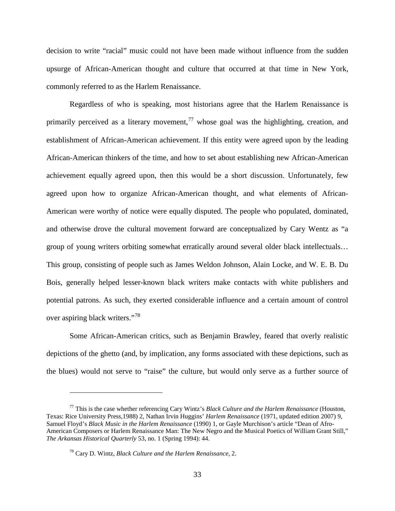decision to write "racial" music could not have been made without influence from the sudden upsurge of African-American thought and culture that occurred at that time in New York, commonly referred to as the Harlem Renaissance.

Regardless of who is speaking, most historians agree that the Harlem Renaissance is primarily perceived as a literary movement,  $^{77}$  $^{77}$  $^{77}$  whose goal was the highlighting, creation, and establishment of African-American achievement. If this entity were agreed upon by the leading African-American thinkers of the time, and how to set about establishing new African-American achievement equally agreed upon, then this would be a short discussion. Unfortunately, few agreed upon how to organize African-American thought, and what elements of African-American were worthy of notice were equally disputed. The people who populated, dominated, and otherwise drove the cultural movement forward are conceptualized by Cary Wentz as "a group of young writers orbiting somewhat erratically around several older black intellectuals… This group, consisting of people such as James Weldon Johnson, Alain Locke, and W. E. B. Du Bois, generally helped lesser-known black writers make contacts with white publishers and potential patrons. As such, they exerted considerable influence and a certain amount of control over aspiring black writers."<sup>[78](#page-37-0)</sup>

Some African-American critics, such as Benjamin Brawley, feared that overly realistic depictions of the ghetto (and, by implication, any forms associated with these depictions, such as the blues) would not serve to "raise" the culture, but would only serve as a further source of

<span id="page-37-1"></span><span id="page-37-0"></span><sup>77</sup> This is the case whether referencing Cary Wintz's *Black Culture and the Harlem Renaissance* (Houston, Texas: Rice University Press,1988) 2, Nathan Irvin Huggins' *Harlem Renaissance* (1971, updated edition 2007) 9, Samuel Floyd's *Black Music in the Harlem Renaissance* (1990) 1, or Gayle Murchison's article "Dean of Afro-American Composers or Harlem Renaissance Man: The New Negro and the Musical Poetics of William Grant Still," *The Arkansas Historical Quarterly* 53, no. 1 (Spring 1994): 44.

<sup>78</sup> Cary D. Wintz, *Black Culture and the Harlem Renaissance*, 2.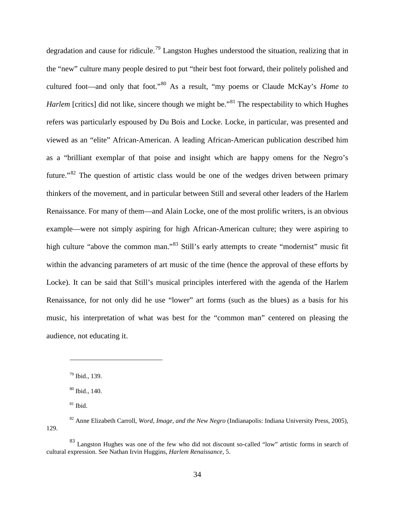degradation and cause for ridicule.<sup>[79](#page-37-1)</sup> Langston Hughes understood the situation, realizing that in the "new" culture many people desired to put "their best foot forward, their politely polished and cultured foot—and only that foot."[80](#page-38-0) As a result, "my poems or Claude McKay's *Home to Harlem* [critics] did not like, sincere though we might be.<sup>3[81](#page-38-1)</sup> The respectability to which Hughes refers was particularly espoused by Du Bois and Locke. Locke, in particular, was presented and viewed as an "elite" African-American. A leading African-American publication described him as a "brilliant exemplar of that poise and insight which are happy omens for the Negro's future."<sup>[82](#page-38-2)</sup> The question of artistic class would be one of the wedges driven between primary thinkers of the movement, and in particular between Still and several other leaders of the Harlem Renaissance. For many of them—and Alain Locke, one of the most prolific writers, is an obvious example—were not simply aspiring for high African-American culture; they were aspiring to high culture "above the common man."<sup>[83](#page-38-3)</sup> Still's early attempts to create "modernist" music fit within the advancing parameters of art music of the time (hence the approval of these efforts by Locke). It can be said that Still's musical principles interfered with the agenda of the Harlem Renaissance, for not only did he use "lower" art forms (such as the blues) as a basis for his music, his interpretation of what was best for the "common man" centered on pleasing the audience, not educating it.

<sup>79</sup> Ibid., 139.

<sup>80</sup> Ibid., 140.

 $81$  Ibid.

<span id="page-38-4"></span><span id="page-38-2"></span><span id="page-38-1"></span><span id="page-38-0"></span><sup>82</sup> Anne Elizabeth Carroll, *Word, Image, and the New Negro* (Indianapolis: Indiana University Press, 2005), 129.

<span id="page-38-3"></span><sup>&</sup>lt;sup>83</sup> Langston Hughes was one of the few who did not discount so-called "low" artistic forms in search of cultural expression. See Nathan Irvin Huggins, *Harlem Renaissance,* 5.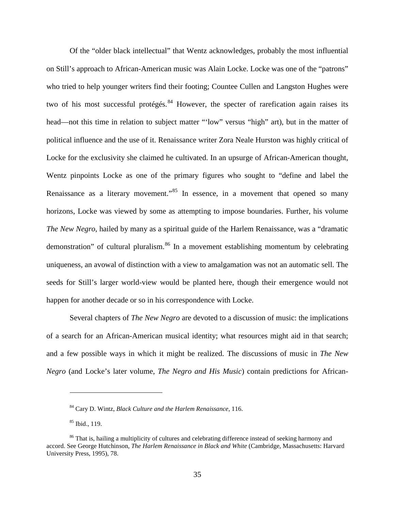Of the "older black intellectual" that Wentz acknowledges, probably the most influential on Still's approach to African-American music was Alain Locke. Locke was one of the "patrons" who tried to help younger writers find their footing; Countee Cullen and Langston Hughes were two of his most successful protégés.  $84$  However, the specter of rarefication again raises its head—not this time in relation to subject matter "'low" versus "high" art), but in the matter of political influence and the use of it. Renaissance writer Zora Neale Hurston was highly critical of Locke for the exclusivity she claimed he cultivated. In an upsurge of African-American thought, Wentz pinpoints Locke as one of the primary figures who sought to "define and label the Renaissance as a literary movement."<sup>[85](#page-39-0)</sup> In essence, in a movement that opened so many horizons, Locke was viewed by some as attempting to impose boundaries. Further, his volume *The New Negro*, hailed by many as a spiritual guide of the Harlem Renaissance, was a "dramatic demonstration" of cultural pluralism.<sup>[86](#page-39-1)</sup> In a movement establishing momentum by celebrating uniqueness, an avowal of distinction with a view to amalgamation was not an automatic sell. The seeds for Still's larger world-view would be planted here, though their emergence would not happen for another decade or so in his correspondence with Locke.

Several chapters of *The New Negro* are devoted to a discussion of music: the implications of a search for an African-American musical identity; what resources might aid in that search; and a few possible ways in which it might be realized. The discussions of music in *The New Negro* (and Locke's later volume, *The Negro and His Music*) contain predictions for African-

<span id="page-39-2"></span><sup>84</sup> Cary D. Wintz, *Black Culture and the Harlem Renaissance*, 116.

<sup>85</sup> Ibid., 119.

<span id="page-39-1"></span><span id="page-39-0"></span><sup>&</sup>lt;sup>86</sup> That is, hailing a multiplicity of cultures and celebrating difference instead of seeking harmony and accord. See George Hutchinson, *The Harlem Renaissance in Black and White* (Cambridge, Massachusetts: Harvard University Press, 1995), 78.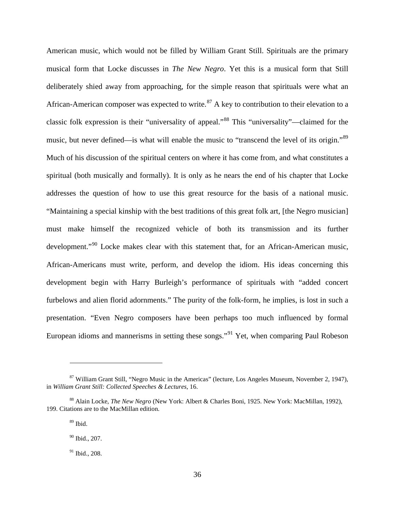American music, which would not be filled by William Grant Still. Spirituals are the primary musical form that Locke discusses in *The New Negro*. Yet this is a musical form that Still deliberately shied away from approaching, for the simple reason that spirituals were what an African-American composer was expected to write.<sup>[87](#page-39-2)</sup> A key to contribution to their elevation to a classic folk expression is their "universality of appeal."[88](#page-40-0) This "universality"—claimed for the music, but never defined—is what will enable the music to "transcend the level of its origin."<sup>[89](#page-40-1)</sup> Much of his discussion of the spiritual centers on where it has come from, and what constitutes a spiritual (both musically and formally). It is only as he nears the end of his chapter that Locke addresses the question of how to use this great resource for the basis of a national music. "Maintaining a special kinship with the best traditions of this great folk art, [the Negro musician] must make himself the recognized vehicle of both its transmission and its further development."<sup>[90](#page-40-2)</sup> Locke makes clear with this statement that, for an African-American music, African-Americans must write, perform, and develop the idiom. His ideas concerning this development begin with Harry Burleigh's performance of spirituals with "added concert furbelows and alien florid adornments." The purity of the folk-form, he implies, is lost in such a presentation. "Even Negro composers have been perhaps too much influenced by formal European idioms and mannerisms in setting these songs."[91](#page-40-3) Yet, when comparing Paul Robeson

<sup>87</sup> William Grant Still, "Negro Music in the Americas" (lecture, Los Angeles Museum, November 2, 1947), in *William Grant Still: Collected Speeches & Lectures*, 16.

<span id="page-40-2"></span><span id="page-40-1"></span><span id="page-40-0"></span><sup>88</sup> Alain Locke, *The New Negro* (New York: Albert & Charles Boni, 1925. New York: MacMillan, 1992), 199. Citations are to the MacMillan edition.

 $89$  Ibid.

 $90$  Ibid., 207.

<span id="page-40-4"></span><span id="page-40-3"></span> $91$  Ibid., 208.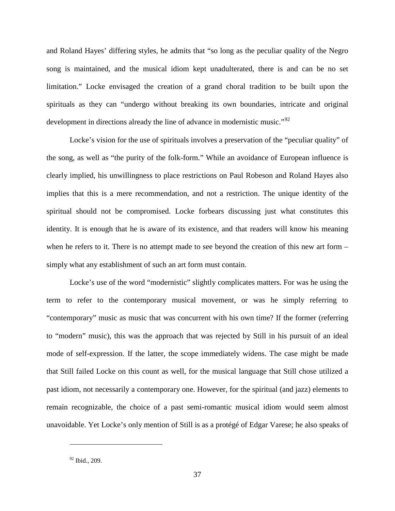and Roland Hayes' differing styles, he admits that "so long as the peculiar quality of the Negro song is maintained, and the musical idiom kept unadulterated, there is and can be no set limitation." Locke envisaged the creation of a grand choral tradition to be built upon the spirituals as they can "undergo without breaking its own boundaries, intricate and original development in directions already the line of advance in modernistic music."<sup>[92](#page-40-4)</sup>

Locke's vision for the use of spirituals involves a preservation of the "peculiar quality" of the song, as well as "the purity of the folk-form." While an avoidance of European influence is clearly implied, his unwillingness to place restrictions on Paul Robeson and Roland Hayes also implies that this is a mere recommendation, and not a restriction. The unique identity of the spiritual should not be compromised. Locke forbears discussing just what constitutes this identity. It is enough that he is aware of its existence, and that readers will know his meaning when he refers to it. There is no attempt made to see beyond the creation of this new art form – simply what any establishment of such an art form must contain.

Locke's use of the word "modernistic" slightly complicates matters. For was he using the term to refer to the contemporary musical movement, or was he simply referring to "contemporary" music as music that was concurrent with his own time? If the former (referring to "modern" music), this was the approach that was rejected by Still in his pursuit of an ideal mode of self-expression. If the latter, the scope immediately widens. The case might be made that Still failed Locke on this count as well, for the musical language that Still chose utilized a past idiom, not necessarily a contemporary one. However, for the spiritual (and jazz) elements to remain recognizable, the choice of a past semi-romantic musical idiom would seem almost unavoidable. Yet Locke's only mention of Still is as a protégé of Edgar Varese; he also speaks of

<span id="page-41-0"></span><sup>&</sup>lt;sup>92</sup> Ibid., 209.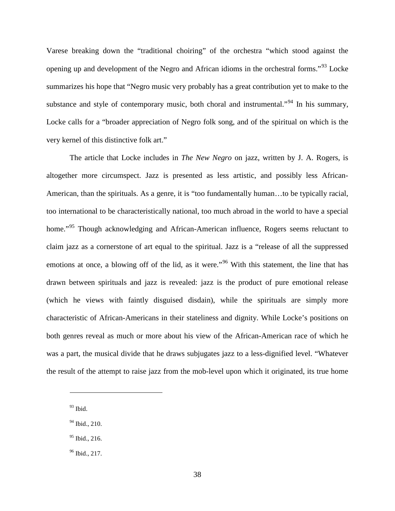Varese breaking down the "traditional choiring" of the orchestra "which stood against the opening up and development of the Negro and African idioms in the orchestral forms."[93](#page-41-0) Locke summarizes his hope that "Negro music very probably has a great contribution yet to make to the substance and style of contemporary music, both choral and instrumental."<sup>[94](#page-42-0)</sup> In his summary, Locke calls for a "broader appreciation of Negro folk song, and of the spiritual on which is the very kernel of this distinctive folk art."

The article that Locke includes in *The New Negro* on jazz, written by J. A. Rogers, is altogether more circumspect. Jazz is presented as less artistic, and possibly less African-American, than the spirituals. As a genre, it is "too fundamentally human…to be typically racial, too international to be characteristically national, too much abroad in the world to have a special home."<sup>[95](#page-42-1)</sup> Though acknowledging and African-American influence, Rogers seems reluctant to claim jazz as a cornerstone of art equal to the spiritual. Jazz is a "release of all the suppressed emotions at once, a blowing off of the lid, as it were."<sup>[96](#page-42-2)</sup> With this statement, the line that has drawn between spirituals and jazz is revealed: jazz is the product of pure emotional release (which he views with faintly disguised disdain), while the spirituals are simply more characteristic of African-Americans in their stateliness and dignity. While Locke's positions on both genres reveal as much or more about his view of the African-American race of which he was a part, the musical divide that he draws subjugates jazz to a less-dignified level. "Whatever the result of the attempt to raise jazz from the mob-level upon which it originated, its true home

 $\overline{a}$ 

<span id="page-42-3"></span><span id="page-42-0"></span><sup>94</sup> Ibid., 210.

 $93$  Ibid.

<span id="page-42-1"></span><sup>&</sup>lt;sup>95</sup> Ibid., 216.

<span id="page-42-2"></span> $96$  Ibid., 217.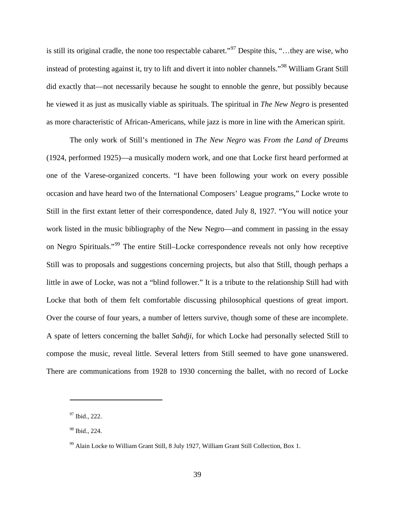is still its original cradle, the none too respectable cabaret."<sup>[97](#page-42-3)</sup> Despite this, "...they are wise, who instead of protesting against it, try to lift and divert it into nobler channels."[98](#page-43-0) William Grant Still did exactly that—not necessarily because he sought to ennoble the genre, but possibly because he viewed it as just as musically viable as spirituals. The spiritual in *The New Negro* is presented as more characteristic of African-Americans, while jazz is more in line with the American spirit.

The only work of Still's mentioned in *The New Negro* was *From the Land of Dreams* (1924, performed 1925)—a musically modern work, and one that Locke first heard performed at one of the Varese-organized concerts. "I have been following your work on every possible occasion and have heard two of the International Composers' League programs," Locke wrote to Still in the first extant letter of their correspondence, dated July 8, 1927. "You will notice your work listed in the music bibliography of the New Negro—and comment in passing in the essay on Negro Spirituals."[99](#page-43-1) The entire Still–Locke correspondence reveals not only how receptive Still was to proposals and suggestions concerning projects, but also that Still, though perhaps a little in awe of Locke, was not a "blind follower." It is a tribute to the relationship Still had with Locke that both of them felt comfortable discussing philosophical questions of great import. Over the course of four years, a number of letters survive, though some of these are incomplete. A spate of letters concerning the ballet *Sahdji*, for which Locke had personally selected Still to compose the music, reveal little. Several letters from Still seemed to have gone unanswered. There are communications from 1928 to 1930 concerning the ballet, with no record of Locke

<span id="page-43-2"></span><sup>97</sup> Ibid., 222.

<span id="page-43-0"></span><sup>98</sup> Ibid., 224.

<span id="page-43-1"></span><sup>&</sup>lt;sup>99</sup> Alain Locke to William Grant Still, 8 July 1927, William Grant Still Collection, Box 1.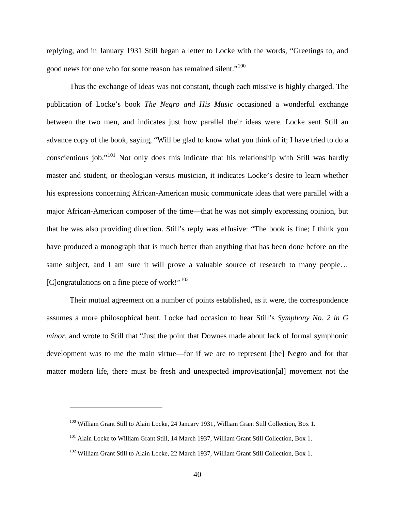replying, and in January 1931 Still began a letter to Locke with the words, "Greetings to, and good news for one who for some reason has remained silent."<sup>[100](#page-43-2)</sup>

Thus the exchange of ideas was not constant, though each missive is highly charged. The publication of Locke's book *The Negro and His Music* occasioned a wonderful exchange between the two men, and indicates just how parallel their ideas were. Locke sent Still an advance copy of the book, saying, "Will be glad to know what you think of it; I have tried to do a conscientious job."[101](#page-44-0) Not only does this indicate that his relationship with Still was hardly master and student, or theologian versus musician, it indicates Locke's desire to learn whether his expressions concerning African-American music communicate ideas that were parallel with a major African-American composer of the time—that he was not simply expressing opinion, but that he was also providing direction. Still's reply was effusive: "The book is fine; I think you have produced a monograph that is much better than anything that has been done before on the same subject, and I am sure it will prove a valuable source of research to many people... [C]ongratulations on a fine piece of work!"<sup>[102](#page-44-1)</sup>

Their mutual agreement on a number of points established, as it were, the correspondence assumes a more philosophical bent. Locke had occasion to hear Still's *Symphony No. 2 in G minor*, and wrote to Still that "Just the point that Downes made about lack of formal symphonic development was to me the main virtue—for if we are to represent [the] Negro and for that matter modern life, there must be fresh and unexpected improvisation[al] movement not the

<span id="page-44-2"></span><sup>&</sup>lt;sup>100</sup> William Grant Still to Alain Locke, 24 January 1931, William Grant Still Collection, Box 1.

<span id="page-44-0"></span><sup>&</sup>lt;sup>101</sup> Alain Locke to William Grant Still, 14 March 1937, William Grant Still Collection, Box 1.

<span id="page-44-1"></span><sup>&</sup>lt;sup>102</sup> William Grant Still to Alain Locke, 22 March 1937, William Grant Still Collection, Box 1.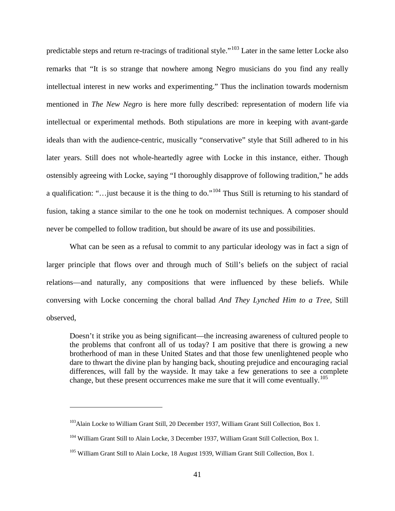predictable steps and return re-tracings of traditional style."[103](#page-44-2) Later in the same letter Locke also remarks that "It is so strange that nowhere among Negro musicians do you find any really intellectual interest in new works and experimenting." Thus the inclination towards modernism mentioned in *The New Negro* is here more fully described: representation of modern life via intellectual or experimental methods. Both stipulations are more in keeping with avant-garde ideals than with the audience-centric, musically "conservative" style that Still adhered to in his later years. Still does not whole-heartedly agree with Locke in this instance, either. Though ostensibly agreeing with Locke, saying "I thoroughly disapprove of following tradition," he adds a qualification: "…just because it is the thing to do."[104](#page-45-0) Thus Still is returning to his standard of fusion, taking a stance similar to the one he took on modernist techniques. A composer should never be compelled to follow tradition, but should be aware of its use and possibilities.

What can be seen as a refusal to commit to any particular ideology was in fact a sign of larger principle that flows over and through much of Still's beliefs on the subject of racial relations—and naturally, any compositions that were influenced by these beliefs. While conversing with Locke concerning the choral ballad *And They Lynched Him to a Tree*, Still observed,

Doesn't it strike you as being significant—the increasing awareness of cultured people to the problems that confront all of us today? I am positive that there is growing a new brotherhood of man in these United States and that those few unenlightened people who dare to thwart the divine plan by hanging back, shouting prejudice and encouraging racial differences, will fall by the wayside. It may take a few generations to see a complete change, but these present occurrences make me sure that it will come eventually.<sup>[105](#page-45-1)</sup>

<span id="page-45-2"></span><sup>&</sup>lt;sup>103</sup>Alain Locke to William Grant Still, 20 December 1937, William Grant Still Collection, Box 1.

<span id="page-45-0"></span><sup>&</sup>lt;sup>104</sup> William Grant Still to Alain Locke, 3 December 1937, William Grant Still Collection, Box 1.

<span id="page-45-1"></span><sup>&</sup>lt;sup>105</sup> William Grant Still to Alain Locke, 18 August 1939, William Grant Still Collection, Box 1.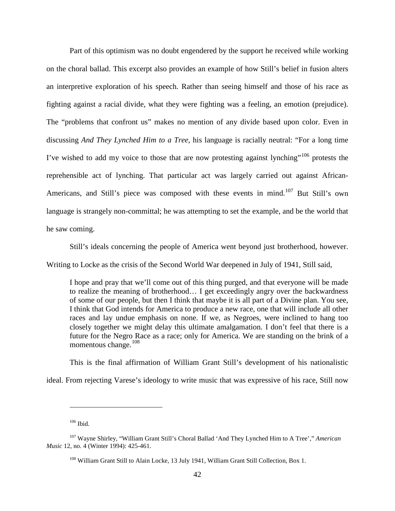Part of this optimism was no doubt engendered by the support he received while working on the choral ballad. This excerpt also provides an example of how Still's belief in fusion alters an interpretive exploration of his speech. Rather than seeing himself and those of his race as fighting against a racial divide, what they were fighting was a feeling, an emotion (prejudice). The "problems that confront us" makes no mention of any divide based upon color. Even in discussing *And They Lynched Him to a Tree*, his language is racially neutral: "For a long time I've wished to add my voice to those that are now protesting against lynching"<sup>[106](#page-45-2)</sup> protests the reprehensible act of lynching. That particular act was largely carried out against African-Americans, and Still's piece was composed with these events in mind.<sup>[107](#page-46-0)</sup> But Still's own language is strangely non-committal; he was attempting to set the example, and be the world that he saw coming.

Still's ideals concerning the people of America went beyond just brotherhood, however.

Writing to Locke as the crisis of the Second World War deepened in July of 1941, Still said,

I hope and pray that we'll come out of this thing purged, and that everyone will be made to realize the meaning of brotherhood… I get exceedingly angry over the backwardness of some of our people, but then I think that maybe it is all part of a Divine plan. You see, I think that God intends for America to produce a new race, one that will include all other races and lay undue emphasis on none. If we, as Negroes, were inclined to hang too closely together we might delay this ultimate amalgamation. I don't feel that there is a future for the Negro Race as a race; only for America. We are standing on the brink of a momentous change. $108$ 

This is the final affirmation of William Grant Still's development of his nationalistic

<span id="page-46-2"></span>ideal. From rejecting Varese's ideology to write music that was expressive of his race, Still now

 $106$  Ibid.

<span id="page-46-1"></span><span id="page-46-0"></span><sup>107</sup> Wayne Shirley, "William Grant Still's Choral Ballad 'And They Lynched Him to A Tree'," *American Music* 12, no. 4 (Winter 1994): 425-461.

<sup>&</sup>lt;sup>108</sup> William Grant Still to Alain Locke, 13 July 1941, William Grant Still Collection, Box 1.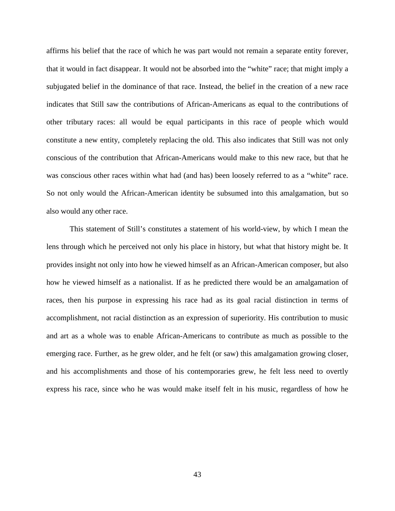affirms his belief that the race of which he was part would not remain a separate entity forever, that it would in fact disappear. It would not be absorbed into the "white" race; that might imply a subjugated belief in the dominance of that race. Instead, the belief in the creation of a new race indicates that Still saw the contributions of African-Americans as equal to the contributions of other tributary races: all would be equal participants in this race of people which would constitute a new entity, completely replacing the old. This also indicates that Still was not only conscious of the contribution that African-Americans would make to this new race, but that he was conscious other races within what had (and has) been loosely referred to as a "white" race. So not only would the African-American identity be subsumed into this amalgamation, but so also would any other race.

This statement of Still's constitutes a statement of his world-view, by which I mean the lens through which he perceived not only his place in history, but what that history might be. It provides insight not only into how he viewed himself as an African-American composer, but also how he viewed himself as a nationalist. If as he predicted there would be an amalgamation of races, then his purpose in expressing his race had as its goal racial distinction in terms of accomplishment, not racial distinction as an expression of superiority. His contribution to music and art as a whole was to enable African-Americans to contribute as much as possible to the emerging race. Further, as he grew older, and he felt (or saw) this amalgamation growing closer, and his accomplishments and those of his contemporaries grew, he felt less need to overtly express his race, since who he was would make itself felt in his music, regardless of how he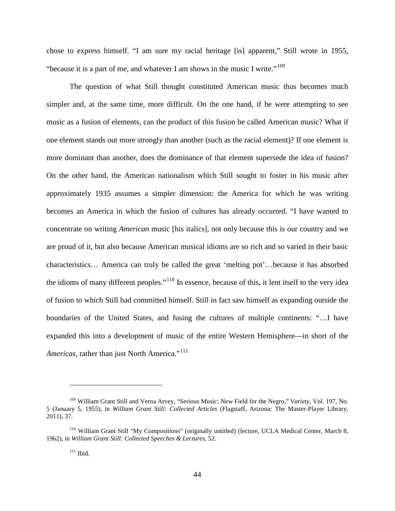chose to express himself. "I am sure my racial heritage [is] apparent," Still wrote in 1955, "because it is a part of me, and whatever I am shows in the music I write."<sup>[109](#page-46-2)</sup>

The question of what Still thought constituted American music thus becomes much simpler and, at the same time, more difficult. On the one hand, if he were attempting to see music as a fusion of elements, can the product of this fusion be called American music? What if one element stands out more strongly than another (such as the racial element)? If one element is more dominant than another, does the dominance of that element supersede the idea of fusion? On the other hand, the American nationalism which Still sought to foster in his music after approximately 1935 assumes a simpler dimension: the America for which he was writing becomes an America in which the fusion of cultures has already occurred. "I have wanted to concentrate on writing *American* music [his italics], not only because this is our country and we are proud of it, but also because American musical idioms are so rich and so varied in their basic characteristics… America can truly be called the great 'melting pot'…because it has absorbed the idioms of many different peoples."[110](#page-48-0) In essence, because of this, it lent itself to the very idea of fusion to which Still had committed himself. Still in fact saw himself as expanding outside the boundaries of the United States, and fusing the cultures of multiple continents: "…I have expanded this into a development of music of the entire Western Hemisphere—in short of the *Americas, rather than just North America.*"<sup>[111](#page-48-1)</sup>

<span id="page-48-2"></span><sup>109</sup> William Grant Still and Verna Arvey, "Serious Music: New Field for the Negro," *Variety*, Vol. 197, No. 5 (January 5, 1955), in *William Grant Still: Collected Articles* (Flagstaff, Arizona: The Master-Player Library, 2011), 37.

<span id="page-48-1"></span><span id="page-48-0"></span><sup>110</sup> William Grant Still "My Compositions" (originally untitled) (lecture, UCLA Medical Center, March 8, 1962), in *William Grant Still: Collected Speeches & Lectures*, 52.

 $111$  Ibid.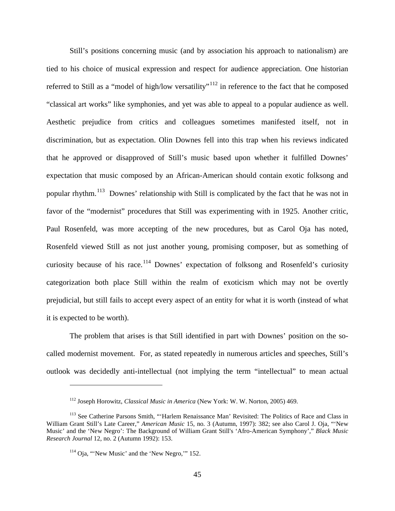Still's positions concerning music (and by association his approach to nationalism) are tied to his choice of musical expression and respect for audience appreciation. One historian referred to Still as a "model of high/low versatility"<sup>[112](#page-48-2)</sup> in reference to the fact that he composed "classical art works" like symphonies, and yet was able to appeal to a popular audience as well. Aesthetic prejudice from critics and colleagues sometimes manifested itself, not in discrimination, but as expectation. Olin Downes fell into this trap when his reviews indicated that he approved or disapproved of Still's music based upon whether it fulfilled Downes' expectation that music composed by an African-American should contain exotic folksong and popular rhythm.[113](#page-49-0) Downes' relationship with Still is complicated by the fact that he was not in favor of the "modernist" procedures that Still was experimenting with in 1925. Another critic, Paul Rosenfeld, was more accepting of the new procedures, but as Carol Oja has noted, Rosenfeld viewed Still as not just another young, promising composer, but as something of curiosity because of his race.<sup>[114](#page-49-1)</sup> Downes' expectation of folksong and Rosenfeld's curiosity categorization both place Still within the realm of exoticism which may not be overtly prejudicial, but still fails to accept every aspect of an entity for what it is worth (instead of what it is expected to be worth).

The problem that arises is that Still identified in part with Downes' position on the socalled modernist movement. For, as stated repeatedly in numerous articles and speeches, Still's outlook was decidedly anti-intellectual (not implying the term "intellectual" to mean actual

<sup>112</sup> Joseph Horowitz, *Classical Music in America* (New York: W. W. Norton, 2005) 469.

<span id="page-49-2"></span><span id="page-49-1"></span><span id="page-49-0"></span><sup>&</sup>lt;sup>113</sup> See Catherine Parsons Smith, "'Harlem Renaissance Man' Revisited: The Politics of Race and Class in William Grant Still's Late Career," *American Music* 15, no. 3 (Autumn, 1997): 382; see also Carol J. Oja, "'New Music' and the 'New Negro': The Background of William Grant Still's 'Afro-American Symphony'," *Black Music Research Journal* 12, no. 2 (Autumn 1992): 153.

 $114$  Oja, "'New Music' and the 'New Negro," 152.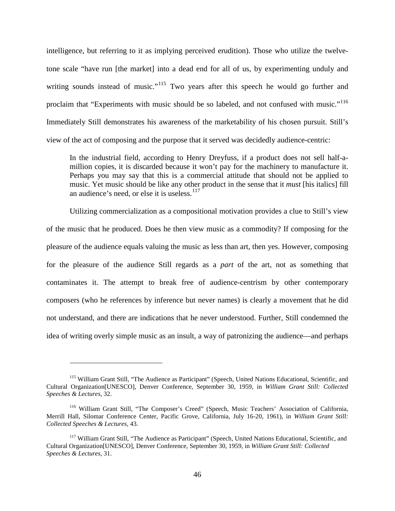intelligence, but referring to it as implying perceived erudition). Those who utilize the twelvetone scale "have run [the market] into a dead end for all of us, by experimenting unduly and writing sounds instead of music."<sup>[115](#page-49-2)</sup> Two years after this speech he would go further and proclaim that "Experiments with music should be so labeled, and not confused with music."<sup>[116](#page-50-0)</sup> Immediately Still demonstrates his awareness of the marketability of his chosen pursuit. Still's view of the act of composing and the purpose that it served was decidedly audience-centric:

In the industrial field, according to Henry Dreyfuss, if a product does not sell half-amillion copies, it is discarded because it won't pay for the machinery to manufacture it. Perhaps you may say that this is a commercial attitude that should not be applied to music. Yet music should be like any other product in the sense that it *must* [his italics] fill an audience's need, or else it is useless.<sup>[117](#page-50-1)</sup>

Utilizing commercialization as a compositional motivation provides a clue to Still's view of the music that he produced. Does he then view music as a commodity? If composing for the pleasure of the audience equals valuing the music as less than art, then yes. However, composing for the pleasure of the audience Still regards as a *part* of the art, not as something that contaminates it. The attempt to break free of audience-centrism by other contemporary composers (who he references by inference but never names) is clearly a movement that he did not understand, and there are indications that he never understood. Further, Still condemned the idea of writing overly simple music as an insult, a way of patronizing the audience—and perhaps

<span id="page-50-2"></span><sup>115</sup> William Grant Still, "The Audience as Participant" (Speech, United Nations Educational, Scientific, and Cultural Organization[UNESCO], Denver Conference, September 30, 1959, in *William Grant Still: Collected Speeches & Lectures*, 32.

<span id="page-50-0"></span><sup>116</sup> William Grant Still, "The Composer's Creed" (Speech, Music Teachers' Association of California, Merrill Hall, Silomar Conference Center, Pacific Grove, California, July 16-20, 1961), in *William Grant Still: Collected Speeches & Lectures*, 43.

<span id="page-50-1"></span><sup>&</sup>lt;sup>117</sup> William Grant Still, "The Audience as Participant" (Speech, United Nations Educational, Scientific, and Cultural Organization[UNESCO], Denver Conference, September 30, 1959, in *William Grant Still: Collected Speeches & Lectures*, 31.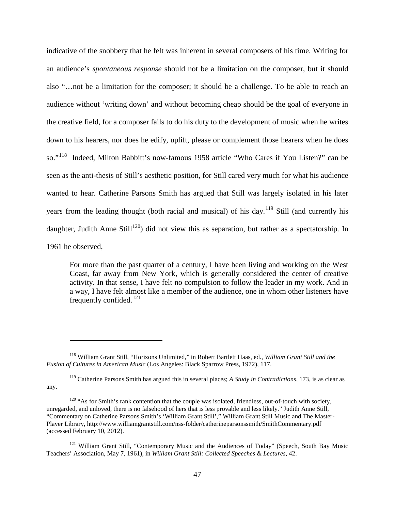indicative of the snobbery that he felt was inherent in several composers of his time. Writing for an audience's *spontaneous response* should not be a limitation on the composer, but it should also "…not be a limitation for the composer; it should be a challenge. To be able to reach an audience without 'writing down' and without becoming cheap should be the goal of everyone in the creative field, for a composer fails to do his duty to the development of music when he writes down to his hearers, nor does he edify, uplift, please or complement those hearers when he does so."[118](#page-50-2) Indeed, Milton Babbitt's now-famous 1958 article "Who Cares if You Listen?" can be seen as the anti-thesis of Still's aesthetic position, for Still cared very much for what his audience wanted to hear. Catherine Parsons Smith has argued that Still was largely isolated in his later years from the leading thought (both racial and musical) of his day.<sup>[119](#page-51-0)</sup> Still (and currently his daughter, Judith Anne Still<sup>120</sup>) did not view this as separation, but rather as a spectatorship. In 1961 he observed,

For more than the past quarter of a century, I have been living and working on the West Coast, far away from New York, which is generally considered the center of creative activity. In that sense, I have felt no compulsion to follow the leader in my work. And in a way, I have felt almost like a member of the audience, one in whom other listeners have frequently confided.[121](#page-51-2)

<sup>118</sup> William Grant Still, "Horizons Unlimited," in Robert Bartlett Haas, ed., *William Grant Still and the Fusion of Cultures in American Music* (Los Angeles: Black Sparrow Press, 1972), 117.

<span id="page-51-0"></span><sup>119</sup> Catherine Parsons Smith has argued this in several places; *A Study in Contradictions*, 173, is as clear as any.

<span id="page-51-3"></span><span id="page-51-1"></span> $120$  "As for Smith's rank contention that the couple was isolated, friendless, out-of-touch with society, unregarded, and unloved, there is no falsehood of hers that is less provable and less likely." Judith Anne Still, "Commentary on Catherine Parsons Smith's 'William Grant Still'," William Grant Still Music and The Master-Player Library, http://www.williamgrantstill.com/nss-folder/catherineparsonssmith/SmithCommentary.pdf (accessed February 10, 2012).

<span id="page-51-2"></span><sup>&</sup>lt;sup>121</sup> William Grant Still, "Contemporary Music and the Audiences of Today" (Speech, South Bay Music Teachers' Association, May 7, 1961), in *William Grant Still: Collected Speeches & Lectures*, 42.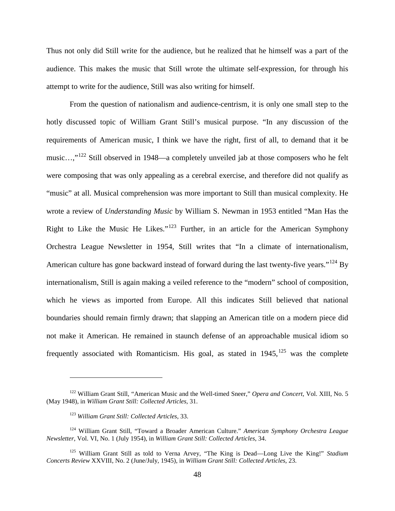Thus not only did Still write for the audience, but he realized that he himself was a part of the audience. This makes the music that Still wrote the ultimate self-expression, for through his attempt to write for the audience, Still was also writing for himself.

From the question of nationalism and audience-centrism, it is only one small step to the hotly discussed topic of William Grant Still's musical purpose. "In any discussion of the requirements of American music, I think we have the right, first of all, to demand that it be music…,"[122](#page-51-3) Still observed in 1948—a completely unveiled jab at those composers who he felt were composing that was only appealing as a cerebral exercise, and therefore did not qualify as "music" at all. Musical comprehension was more important to Still than musical complexity. He wrote a review of *Understanding Music* by William S. Newman in 1953 entitled "Man Has the Right to Like the Music He Likes."[123](#page-52-0) Further, in an article for the American Symphony Orchestra League Newsletter in 1954, Still writes that "In a climate of internationalism, American culture has gone backward instead of forward during the last twenty-five years."<sup>[124](#page-52-1)</sup> By internationalism, Still is again making a veiled reference to the "modern" school of composition, which he views as imported from Europe. All this indicates Still believed that national boundaries should remain firmly drawn; that slapping an American title on a modern piece did not make it American. He remained in staunch defense of an approachable musical idiom so frequently associated with Romanticism. His goal, as stated in  $1945$ ,  $125$  was the complete

<sup>122</sup> William Grant Still, "American Music and the Well-timed Sneer," *Opera and Concert*, Vol. XIII, No. 5 (May 1948), in *William Grant Still: Collected Articles*, 31.

<sup>123</sup> *William Grant Still: Collected Articles*, 33.

<span id="page-52-3"></span><span id="page-52-1"></span><span id="page-52-0"></span><sup>124</sup> William Grant Still, "Toward a Broader American Culture." *American Symphony Orchestra League Newsletter*, Vol. VI, No. 1 (July 1954), in *William Grant Still: Collected Articles*, 34.

<span id="page-52-2"></span><sup>125</sup> William Grant Still as told to Verna Arvey, "The King is Dead—Long Live the King!" *Stadium Concerts Review* XXVIII, No. 2 (June/July, 1945), in *William Grant Still: Collected Articles*, 23.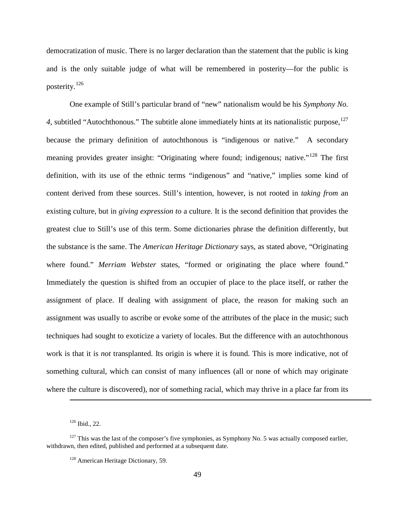democratization of music. There is no larger declaration than the statement that the public is king and is the only suitable judge of what will be remembered in posterity—for the public is posterity.[126](#page-52-3)

One example of Still's particular brand of "new" nationalism would be his *Symphony No.*  4, subtitled "Autochthonous." The subtitle alone immediately hints at its nationalistic purpose, <sup>[127](#page-53-0)</sup> because the primary definition of autochthonous is "indigenous or native." A secondary meaning provides greater insight: "Originating where found; indigenous; native."<sup>[128](#page-53-1)</sup> The first definition, with its use of the ethnic terms "indigenous" and "native," implies some kind of content derived from these sources. Still's intention, however, is not rooted in *taking from* an existing culture, but in *giving expression to* a culture. It is the second definition that provides the greatest clue to Still's use of this term. Some dictionaries phrase the definition differently, but the substance is the same. The *American Heritage Dictionary* says, as stated above, "Originating where found." *Merriam Webster* states, "formed or originating the place where found." Immediately the question is shifted from an occupier of place to the place itself, or rather the assignment of place. If dealing with assignment of place, the reason for making such an assignment was usually to ascribe or evoke some of the attributes of the place in the music; such techniques had sought to exoticize a variety of locales. But the difference with an autochthonous work is that it is *not* transplanted. Its origin is where it is found. This is more indicative, not of something cultural, which can consist of many influences (all or none of which may originate where the culture is discovered), nor of something racial, which may thrive in a place far from its

<sup>126</sup> Ibid., 22.

<span id="page-53-2"></span><span id="page-53-1"></span><span id="page-53-0"></span> $127$  This was the last of the composer's five symphonies, as Symphony No. 5 was actually composed earlier, withdrawn, then edited, published and performed at a subsequent date.

<sup>&</sup>lt;sup>128</sup> American Heritage Dictionary, 59.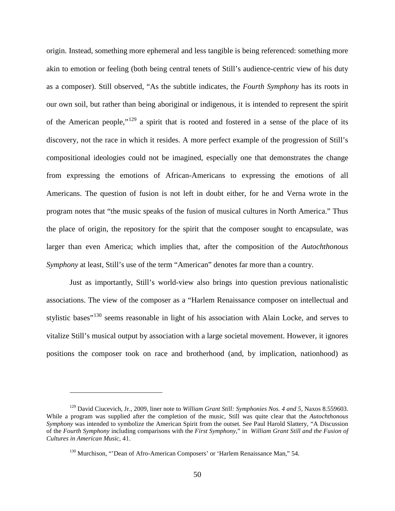origin. Instead, something more ephemeral and less tangible is being referenced: something more akin to emotion or feeling (both being central tenets of Still's audience-centric view of his duty as a composer). Still observed, "As the subtitle indicates, the *Fourth Symphony* has its roots in our own soil, but rather than being aboriginal or indigenous, it is intended to represent the spirit of the American people,"[129](#page-53-2) a spirit that is rooted and fostered in a sense of the place of its discovery, not the race in which it resides. A more perfect example of the progression of Still's compositional ideologies could not be imagined, especially one that demonstrates the change from expressing the emotions of African-Americans to expressing the emotions of all Americans. The question of fusion is not left in doubt either, for he and Verna wrote in the program notes that "the music speaks of the fusion of musical cultures in North America." Thus the place of origin, the repository for the spirit that the composer sought to encapsulate, was larger than even America; which implies that, after the composition of the *Autochthonous Symphony* at least, Still's use of the term "American" denotes far more than a country.

Just as importantly, Still's world-view also brings into question previous nationalistic associations. The view of the composer as a "Harlem Renaissance composer on intellectual and stylistic bases<sup>"[130](#page-54-0)</sup> seems reasonable in light of his association with Alain Locke, and serves to vitalize Still's musical output by association with a large societal movement. However, it ignores positions the composer took on race and brotherhood (and, by implication, nationhood) as

<span id="page-54-1"></span><span id="page-54-0"></span><sup>129</sup> David Ciucevich, Jr., 2009, liner note to *William Grant Still: Symphonies Nos. 4 and 5*, Naxos 8.559603. While a program was supplied after the completion of the music, Still was quite clear that the *Autochthonous Symphony* was intended to symbolize the American Spirit from the outset. See Paul Harold Slattery, "A Discussion of the *Fourth Symphony* including comparisons with the *First Symphony,*" in *William Grant Still and the Fusion of Cultures in American Music,* 41.

<sup>&</sup>lt;sup>130</sup> Murchison, "'Dean of Afro-American Composers' or 'Harlem Renaissance Man," 54.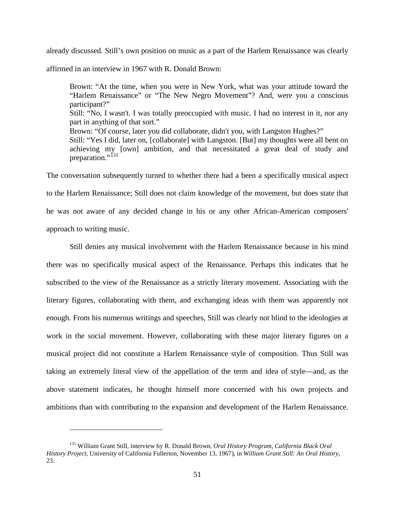already discussed. Still's own position on music as a part of the Harlem Renaissance was clearly

affirmed in an interview in 1967 with R. Donald Brown:

Brown: "At the time, when you were in New York, what was your attitude toward the "Harlem Renaissance" or "The New Negro Movement"? And, were you a conscious participant?" Still: "No, I wasn't. I was totally preoccupied with music. I had no interest in it, nor any part in anything of that sort." Brown: "Of course, later you did collaborate, didn't you, with Langston Hughes?" Still: "Yes I did, later on, [collaborate] with Langston. [But] my thoughts were all bent on achieving my [own] ambition, and that necessitated a great deal of study and preparation."<sup>[131](#page-54-1)</sup>

The conversation subsequently turned to whether there had a been a specifically musical aspect to the Harlem Renaissance; Still does not claim knowledge of the movement, but does state that he was not aware of any decided change in his or any other African-American composers' approach to writing music.

Still denies any musical involvement with the Harlem Renaissance because in his mind there was no specifically musical aspect of the Renaissance. Perhaps this indicates that he subscribed to the view of the Renaissance as a strictly literary movement. Associating with the literary figures, collaborating with them, and exchanging ideas with them was apparently not enough. From his numerous writings and speeches, Still was clearly not blind to the ideologies at work in the social movement. However, collaborating with these major literary figures on a musical project did not constitute a Harlem Renaissance style of composition. Thus Still was taking an extremely literal view of the appellation of the term and idea of style—and, as the above statement indicates, he thought himself more concerned with his own projects and ambitions than with contributing to the expansion and development of the Harlem Renaissance.

<span id="page-55-0"></span><sup>131</sup> William Grant Still, interview by R. Donald Brown, *Oral History Program, California Black Oral History Project*, University of California Fullerton, November 13, 1967), in *William Grant Still: An Oral History*, 23.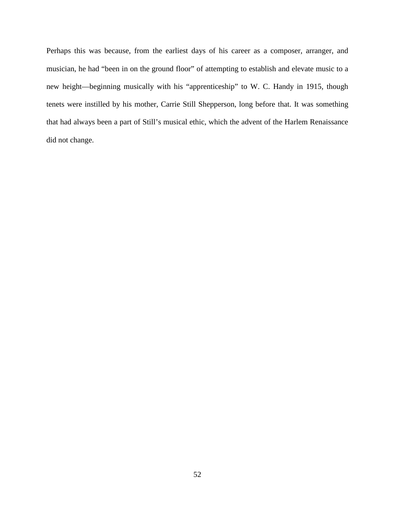Perhaps this was because, from the earliest days of his career as a composer, arranger, and musician, he had "been in on the ground floor" of attempting to establish and elevate music to a new height—beginning musically with his "apprenticeship" to W. C. Handy in 1915, though tenets were instilled by his mother, Carrie Still Shepperson, long before that. It was something that had always been a part of Still's musical ethic, which the advent of the Harlem Renaissance did not change.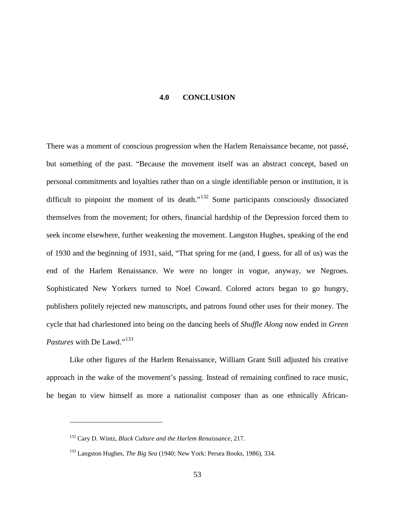#### **4.0 CONCLUSION**

<span id="page-57-0"></span>There was a moment of conscious progression when the Harlem Renaissance became, not passé, but something of the past. "Because the movement itself was an abstract concept, based on personal commitments and loyalties rather than on a single identifiable person or institution, it is difficult to pinpoint the moment of its death."<sup>[132](#page-55-0)</sup> Some participants consciously dissociated themselves from the movement; for others, financial hardship of the Depression forced them to seek income elsewhere, further weakening the movement. Langston Hughes, speaking of the end of 1930 and the beginning of 1931, said, "That spring for me (and, I guess, for all of us) was the end of the Harlem Renaissance. We were no longer in vogue, anyway, we Negroes. Sophisticated New Yorkers turned to Noel Coward. Colored actors began to go hungry, publishers politely rejected new manuscripts, and patrons found other uses for their money. The cycle that had charlestoned into being on the dancing heels of *Shuffle Along* now ended in *Green Pastures* with De Lawd."<sup>[133](#page-57-1)</sup>

Like other figures of the Harlem Renaissance, William Grant Still adjusted his creative approach in the wake of the movement's passing. Instead of remaining confined to race music, he began to view himself as more a nationalist composer than as one ethnically African-

<span id="page-57-2"></span><sup>132</sup> Cary D. Wintz, *Black Culture and the Harlem Renaissance*, 217.

<span id="page-57-1"></span><sup>133</sup> Langston Hughes, *The Big Sea* (1940; New York: Persea Books, 1986), 334.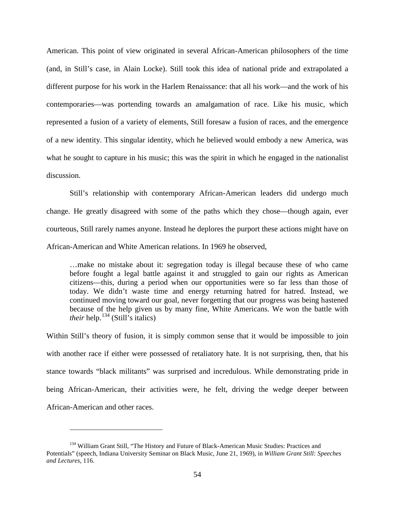American. This point of view originated in several African-American philosophers of the time (and, in Still's case, in Alain Locke). Still took this idea of national pride and extrapolated a different purpose for his work in the Harlem Renaissance: that all his work—and the work of his contemporaries—was portending towards an amalgamation of race. Like his music, which represented a fusion of a variety of elements, Still foresaw a fusion of races, and the emergence of a new identity. This singular identity, which he believed would embody a new America, was what he sought to capture in his music; this was the spirit in which he engaged in the nationalist discussion.

Still's relationship with contemporary African-American leaders did undergo much change. He greatly disagreed with some of the paths which they chose—though again, ever courteous, Still rarely names anyone. Instead he deplores the purport these actions might have on African-American and White American relations. In 1969 he observed,

…make no mistake about it: segregation today is illegal because these of who came before fought a legal battle against it and struggled to gain our rights as American citizens—this, during a period when our opportunities were so far less than those of today. We didn't waste time and energy returning hatred for hatred. Instead, we continued moving toward our goal, never forgetting that our progress was being hastened because of the help given us by many fine, White Americans. We won the battle with *their* help.<sup>[134](#page-57-2)</sup> (Still's italics)

Within Still's theory of fusion, it is simply common sense that it would be impossible to join with another race if either were possessed of retaliatory hate. It is not surprising, then, that his stance towards "black militants" was surprised and incredulous. While demonstrating pride in being African-American, their activities were, he felt, driving the wedge deeper between African-American and other races.

<span id="page-58-0"></span><sup>&</sup>lt;sup>134</sup> William Grant Still, "The History and Future of Black-American Music Studies: Practices and Potentials" (speech, Indiana University Seminar on Black Music, June 21, 1969), in *William Grant Still: Speeches and Lectures*, 116.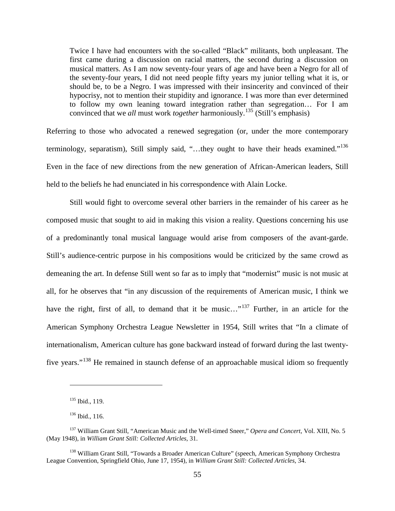Twice I have had encounters with the so-called "Black" militants, both unpleasant. The first came during a discussion on racial matters, the second during a discussion on musical matters. As I am now seventy-four years of age and have been a Negro for all of the seventy-four years, I did not need people fifty years my junior telling what it is, or should be, to be a Negro. I was impressed with their insincerity and convinced of their hypocrisy, not to mention their stupidity and ignorance. I was more than ever determined to follow my own leaning toward integration rather than segregation… For I am convinced that we *all* must work *together* harmoniously.[135](#page-58-0) (Still's emphasis)

Referring to those who advocated a renewed segregation (or, under the more contemporary terminology, separatism), Still simply said, "...they ought to have their heads examined."<sup>[136](#page-59-0)</sup> Even in the face of new directions from the new generation of African-American leaders, Still held to the beliefs he had enunciated in his correspondence with Alain Locke.

Still would fight to overcome several other barriers in the remainder of his career as he composed music that sought to aid in making this vision a reality. Questions concerning his use of a predominantly tonal musical language would arise from composers of the avant-garde. Still's audience-centric purpose in his compositions would be criticized by the same crowd as demeaning the art. In defense Still went so far as to imply that "modernist" music is not music at all, for he observes that "in any discussion of the requirements of American music, I think we have the right, first of all, to demand that it be music..."<sup>[137](#page-59-1)</sup> Further, in an article for the American Symphony Orchestra League Newsletter in 1954, Still writes that "In a climate of internationalism, American culture has gone backward instead of forward during the last twentyfive years."[138](#page-59-2) He remained in staunch defense of an approachable musical idiom so frequently

<sup>135</sup> Ibid., 119.

<sup>&</sup>lt;sup>136</sup> Ibid., 116.

<span id="page-59-1"></span><span id="page-59-0"></span><sup>137</sup> William Grant Still, "American Music and the Well-timed Sneer," *Opera and Concert*, Vol. XIII, No. 5 (May 1948), in *William Grant Still: Collected Articles,* 31.

<span id="page-59-2"></span><sup>&</sup>lt;sup>138</sup> William Grant Still, "Towards a Broader American Culture" (speech, American Symphony Orchestra League Convention, Springfield Ohio, June 17, 1954), in *William Grant Still: Collected Articles,* 34.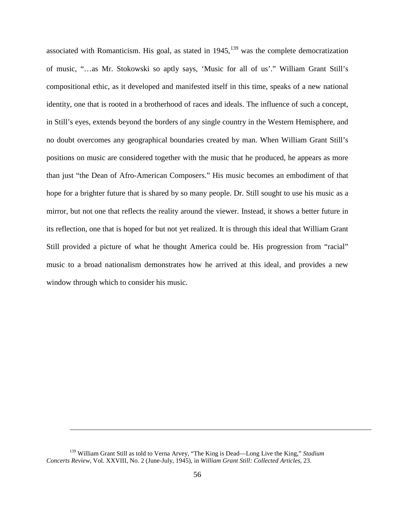associated with Romanticism. His goal, as stated in  $1945$ ,  $139$  was the complete democratization of music, "…as Mr. Stokowski so aptly says, 'Music for all of us'." William Grant Still's compositional ethic, as it developed and manifested itself in this time, speaks of a new national identity, one that is rooted in a brotherhood of races and ideals. The influence of such a concept, in Still's eyes, extends beyond the borders of any single country in the Western Hemisphere, and no doubt overcomes any geographical boundaries created by man. When William Grant Still's positions on music are considered together with the music that he produced, he appears as more than just "the Dean of Afro-American Composers." His music becomes an embodiment of that hope for a brighter future that is shared by so many people. Dr. Still sought to use his music as a mirror, but not one that reflects the reality around the viewer. Instead, it shows a better future in its reflection, one that is hoped for but not yet realized. It is through this ideal that William Grant Still provided a picture of what he thought America could be. His progression from "racial" music to a broad nationalism demonstrates how he arrived at this ideal, and provides a new window through which to consider his music.

<sup>139</sup> William Grant Still as told to Verna Arvey, "The King is Dead—Long Live the King," *Stadium Concerts Review*, Vol. XXVIII, No. 2 (June-July, 1945), in *William Grant Still: Collected Articles*, 23.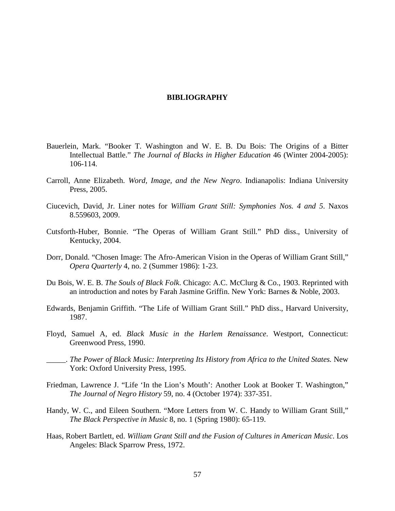## **BIBLIOGRAPHY**

- <span id="page-61-0"></span>Bauerlein, Mark. "Booker T. Washington and W. E. B. Du Bois: The Origins of a Bitter Intellectual Battle." *The Journal of Blacks in Higher Education* 46 (Winter 2004-2005): 106-114.
- Carroll, Anne Elizabeth. *Word, Image, and the New Negro*. Indianapolis: Indiana University Press, 2005.
- Ciucevich, David, Jr. Liner notes for *William Grant Still: Symphonies Nos. 4 and 5*. Naxos 8.559603, 2009.
- Cutsforth-Huber, Bonnie. "The Operas of William Grant Still*.*" PhD diss., University of Kentucky, 2004.
- Dorr, Donald. "Chosen Image: The Afro-American Vision in the Operas of William Grant Still," *Opera Quarterly* 4, no. 2 (Summer 1986): 1-23.
- Du Bois, W. E. B. *The Souls of Black Folk*. Chicago: A.C. McClurg & Co., 1903. Reprinted with an introduction and notes by Farah Jasmine Griffin. New York: Barnes & Noble, 2003.
- Edwards, Benjamin Griffith. "The Life of William Grant Still." PhD diss., Harvard University, 1987.
- Floyd, Samuel A, ed. *Black Music in the Harlem Renaissance*. Westport, Connecticut: Greenwood Press, 1990.
- \_\_\_\_\_. *The Power of Black Music: Interpreting Its History from Africa to the United States.* New York: Oxford University Press, 1995.
- Friedman, Lawrence J. "Life 'In the Lion's Mouth': Another Look at Booker T. Washington," *The Journal of Negro History* 59, no. 4 (October 1974): 337-351.
- Handy, W. C., and Eileen Southern. "More Letters from W. C. Handy to William Grant Still," *The Black Perspective in Music* 8, no. 1 (Spring 1980): 65-119.
- Haas, Robert Bartlett, ed. *William Grant Still and the Fusion of Cultures in American Music*. Los Angeles: Black Sparrow Press, 1972.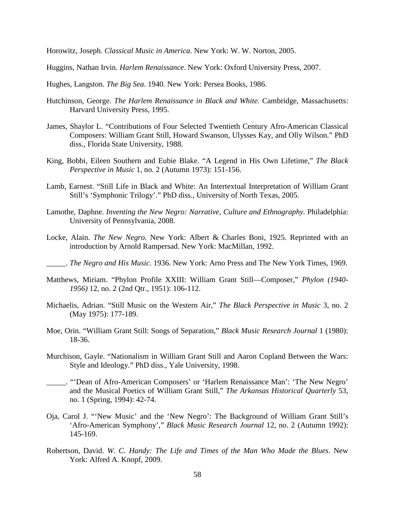Horowitz, Joseph. *Classical Music in America*. New York: W. W. Norton, 2005.

Huggins, Nathan Irvin. *Harlem Renaissance*. New York: Oxford University Press, 2007.

Hughes, Langston. *The Big Sea*. 1940. New York: Persea Books, 1986.

- Hutchinson, George. *The Harlem Renaissance in Black and White.* Cambridge, Massachusetts: Harvard University Press, 1995.
- James, Shaylor L. "Contributions of Four Selected Twentieth Century Afro-American Classical Composers: William Grant Still, Howard Swanson, Ulysses Kay, and Olly Wilson." PhD diss., Florida State University, 1988.
- King, Bobbi, Eileen Southern and Eubie Blake. "A Legend in His Own Lifetime," *The Black Perspective in Music* 1, no. 2 (Autumn 1973): 151-156.
- Lamb, Earnest. "Still Life in Black and White: An Intertextual Interpretation of William Grant Still's 'Symphonic Trilogy'." PhD diss., University of North Texas, 2005.
- Lamothe, Daphne. *Inventing the New Negro: Narrative, Culture and Ethnography.* Philadelphia: University of Pennsylvania, 2008.
- Locke, Alain. *The New Negro.* New York: Albert & Charles Boni, 1925. Reprinted with an introduction by Arnold Rampersad. New York: MacMillan, 1992.
	- \_\_\_\_\_. *The Negro and His Music*. 1936. New York: Arno Press and The New York Times, 1969.
- Matthews, Miriam. "Phylon Profile XXIII: William Grant Still—Composer," *Phylon (1940- 1956)* 12, no. 2 (2nd Qtr., 1951): 106-112.
- Michaelis, Adrian. "Still Music on the Western Air," *The Black Perspective in Music* 3, no. 2 (May 1975): 177-189.
- Moe, Orin. "William Grant Still: Songs of Separation," *Black Music Research Journal* 1 (1980): 18-36.
- Murchison, Gayle. "Nationalism in William Grant Still and Aaron Copland Between the Wars: Style and Ideology." PhD diss., Yale University, 1998.
- \_\_\_\_\_. "'Dean of Afro-American Composers' or 'Harlem Renaissance Man': 'The New Negro' and the Musical Poetics of William Grant Still," *The Arkansas Historical Quarterly* 53, no. 1 (Spring, 1994): 42-74.
- Oja, Carol J. "'New Music' and the 'New Negro': The Background of William Grant Still's 'Afro-American Symphony'," *Black Music Research Journal* 12, no. 2 (Autumn 1992): 145-169.
- Robertson, David. *W. C. Handy: The Life and Times of the Man Who Made the Blues*. New York: Alfred A. Knopf, 2009.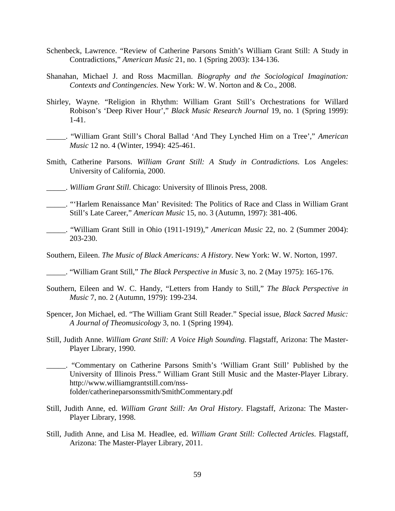- Schenbeck, Lawrence. "Review of Catherine Parsons Smith's William Grant Still: A Study in Contradictions," *American Music* 21, no. 1 (Spring 2003): 134-136.
- Shanahan, Michael J. and Ross Macmillan. *Biography and the Sociological Imagination: Contexts and Contingencies.* New York: W. W. Norton and & Co., 2008.
- Shirley, Wayne. "Religion in Rhythm: William Grant Still's Orchestrations for Willard Robison's 'Deep River Hour'," *Black Music Research Journal* 19, no. 1 (Spring 1999): 1-41.
- \_\_\_\_\_. "William Grant Still's Choral Ballad 'And They Lynched Him on a Tree'," *American Music* 12 no. 4 (Winter, 1994): 425-461.
- Smith, Catherine Parsons. *William Grant Still: A Study in Contradictions.* Los Angeles: University of California, 2000.
- \_\_\_\_\_. *William Grant Still*. Chicago: University of Illinois Press, 2008.
- \_\_\_\_\_. "'Harlem Renaissance Man' Revisited: The Politics of Race and Class in William Grant Still's Late Career," *American Music* 15, no. 3 (Autumn, 1997): 381-406.
- \_\_\_\_\_. "William Grant Still in Ohio (1911-1919)," *American Music* 22, no. 2 (Summer 2004): 203-230.

Southern, Eileen. *The Music of Black Americans: A History*. New York: W. W. Norton, 1997.

\_\_\_\_\_. "William Grant Still," *The Black Perspective in Music* 3, no. 2 (May 1975): 165-176.

- Southern, Eileen and W. C. Handy, "Letters from Handy to Still," *The Black Perspective in Music* 7, no. 2 (Autumn, 1979): 199-234.
- Spencer, Jon Michael, ed. "The William Grant Still Reader." Special issue, *Black Sacred Music: A Journal of Theomusicology* 3, no. 1 (Spring 1994).
- Still, Judith Anne. *William Grant Still: A Voice High Sounding.* Flagstaff, Arizona: The Master-Player Library, 1990.
- \_\_\_\_\_. "Commentary on Catherine Parsons Smith's 'William Grant Still' Published by the University of Illinois Press." William Grant Still Music and the Master-Player Library. http://www.williamgrantstill.com/nssfolder/catherineparsonssmith/SmithCommentary.pdf
- Still, Judith Anne, ed. *William Grant Still: An Oral History*. Flagstaff, Arizona: The Master-Player Library, 1998.
- Still, Judith Anne, and Lisa M. Headlee, ed. *William Grant Still: Collected Articles*. Flagstaff, Arizona: The Master-Player Library, 2011.